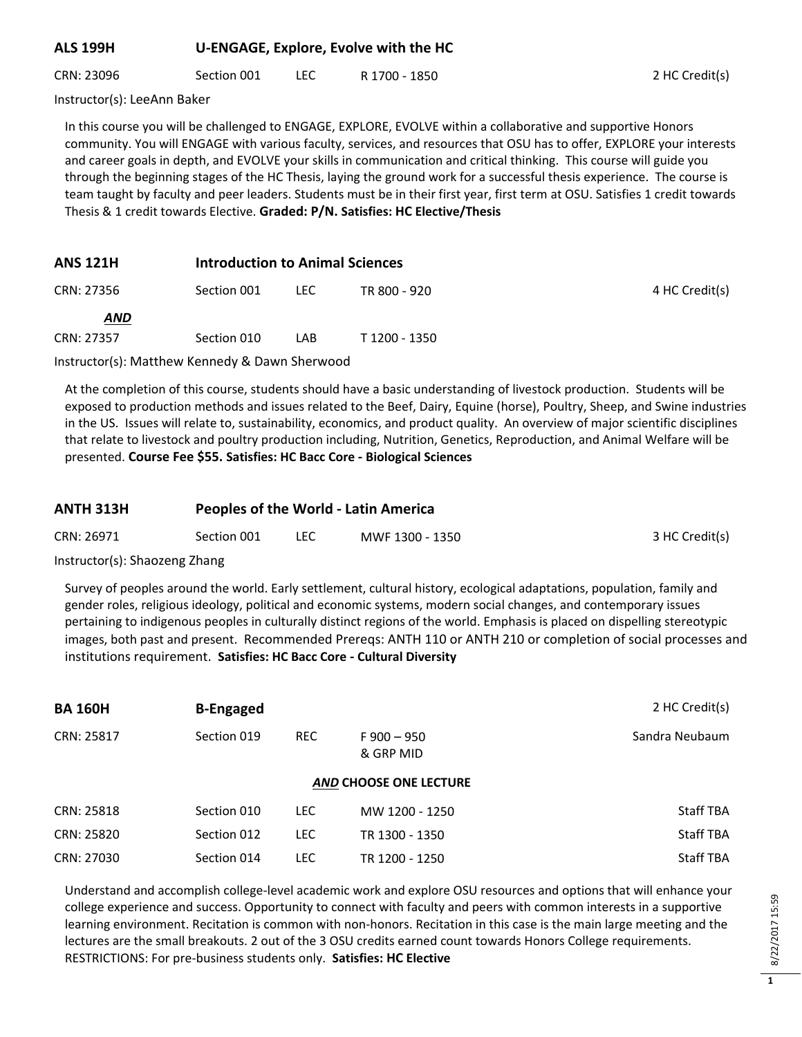#### **ALS 199H U-ENGAGE, Explore, Evolve with the HC**

CRN: 23096 Section 001 LEC R 1700 - 1850 2 HC Credit(s)

Instructor(s): LeeAnn Baker

In this course you will be challenged to ENGAGE, EXPLORE, EVOLVE within a collaborative and supportive Honors community. You will ENGAGE with various faculty, services, and resources that OSU has to offer, EXPLORE your interests and career goals in depth, and EVOLVE your skills in communication and critical thinking. This course will guide you through the beginning stages of the HC Thesis, laying the ground work for a successful thesis experience. The course is team taught by faculty and peer leaders. Students must be in their first year, first term at OSU. Satisfies 1 credit towards Thesis & 1 credit towards Elective. **Graded: P/N. Satisfies: HC Elective/Thesis**

# **ANS 121H Introduction to Animal Sciences**

| CRN: 27356 | Section 001 | LEC | TR 800 - 920  | 4 HC Credit(s) |
|------------|-------------|-----|---------------|----------------|
| <u>AND</u> |             |     |               |                |
| CRN: 27357 | Section 010 | LAB | T 1200 - 1350 |                |

Instructor(s): Matthew Kennedy & Dawn Sherwood

At the completion of this course, students should have a basic understanding of livestock production. Students will be exposed to production methods and issues related to the Beef, Dairy, Equine (horse), Poultry, Sheep, and Swine industries in the US. Issues will relate to, sustainability, economics, and product quality. An overview of major scientific disciplines that relate to livestock and poultry production including, Nutrition, Genetics, Reproduction, and Animal Welfare will be presented. **Course Fee \$55. Satisfies: HC Bacc Core - Biological Sciences**

#### **ANTH 313H Peoples of the World - Latin America**

| CRN: 26971<br>Section 001<br>MWF 1300 - 1350<br>$\sim$ | 3 HC Credit(s) |
|--------------------------------------------------------|----------------|
|--------------------------------------------------------|----------------|

Instructor(s): Shaozeng Zhang

Survey of peoples around the world. Early settlement, cultural history, ecological adaptations, population, family and gender roles, religious ideology, political and economic systems, modern social changes, and contemporary issues pertaining to indigenous peoples in culturally distinct regions of the world. Emphasis is placed on dispelling stereotypic images, both past and present. Recommended Prereqs: ANTH 110 or ANTH 210 or completion of social processes and institutions requirement. **Satisfies: HC Bacc Core - Cultural Diversity**

| <b>BA 160H</b> | <b>B-Engaged</b>              |            |                              | 2 HC Credit(s)   |  |  |  |
|----------------|-------------------------------|------------|------------------------------|------------------|--|--|--|
| CRN: 25817     | Section 019                   | <b>REC</b> | $F$ 900 $-$ 950<br>& GRP MID | Sandra Neubaum   |  |  |  |
|                | <b>AND CHOOSE ONE LECTURE</b> |            |                              |                  |  |  |  |
| CRN: 25818     | Section 010                   | LEC.       | MW 1200 - 1250               | <b>Staff TBA</b> |  |  |  |
| CRN: 25820     | Section 012                   | LEC.       | TR 1300 - 1350               | <b>Staff TBA</b> |  |  |  |
| CRN: 27030     | Section 014                   | LEC        | TR 1200 - 1250               | <b>Staff TBA</b> |  |  |  |

Understand and accomplish college-level academic work and explore OSU resources and options that will enhance your college experience and success. Opportunity to connect with faculty and peers with common interests in a supportive learning environment. Recitation is common with non-honors. Recitation in this case is the main large meeting and the lectures are the small breakouts. 2 out of the 3 OSU credits earned count towards Honors College requirements. RESTRICTIONS: For pre-business students only. **Satisfies: HC Elective**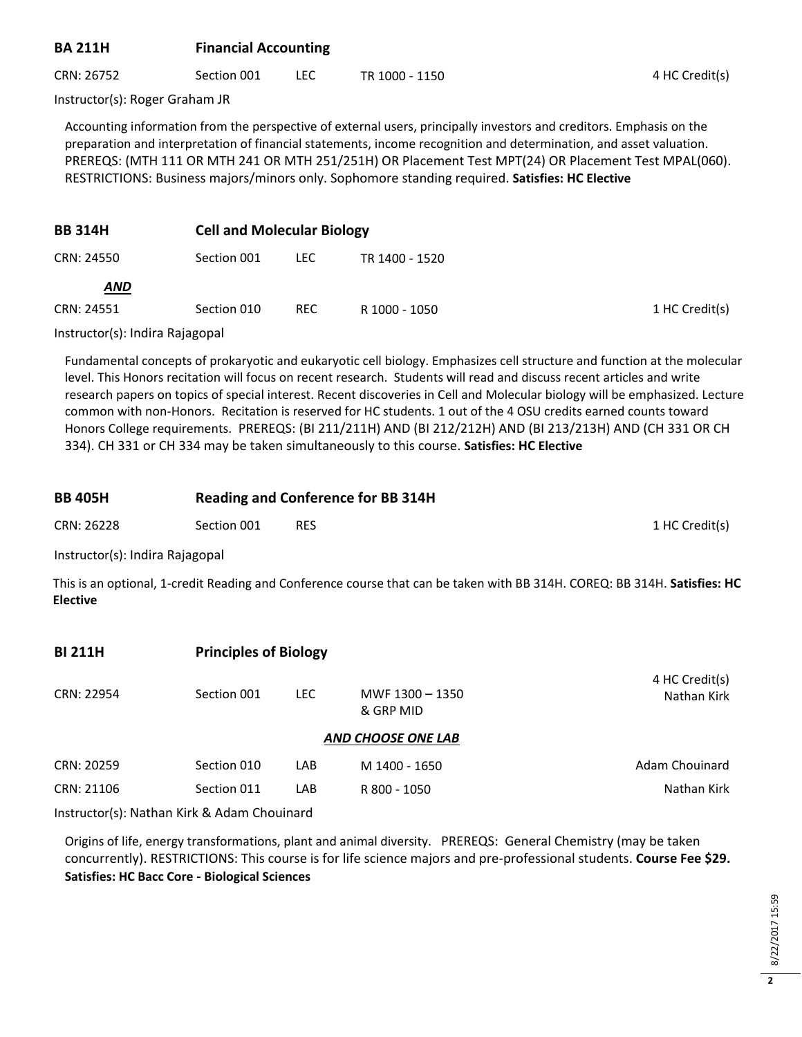## **BA 211H Financial Accounting**

CRN: 26752 Section 001 LEC TR 1000 - 1150 And The Section (s)

Instructor(s): Roger Graham JR

Accounting information from the perspective of external users, principally investors and creditors. Emphasis on the preparation and interpretation of financial statements, income recognition and determination, and asset valuation. PREREQS: (MTH 111 OR MTH 241 OR MTH 251/251H) OR Placement Test MPT(24) OR Placement Test MPAL(060). RESTRICTIONS: Business majors/minors only. Sophomore standing required. **Satisfies: HC Elective**

| <b>BB 314H</b> |             | <b>Cell and Molecular Biology</b> |                |  |  |
|----------------|-------------|-----------------------------------|----------------|--|--|
| CRN: 24550     | Section 001 | LEC.                              | TR 1400 - 1520 |  |  |
| <b>AND</b>     |             |                                   |                |  |  |
| CRN: 24551     | Section 010 | <b>REC</b>                        | R 1000 - 1050  |  |  |
|                |             |                                   |                |  |  |

Instructor(s): Indira Rajagopal

Fundamental concepts of prokaryotic and eukaryotic cell biology. Emphasizes cell structure and function at the molecular level. This Honors recitation will focus on recent research. Students will read and discuss recent articles and write research papers on topics of special interest. Recent discoveries in Cell and Molecular biology will be emphasized. Lecture common with non-Honors. Recitation is reserved for HC students. 1 out of the 4 OSU credits earned counts toward Honors College requirements. PREREQS: (BI 211/211H) AND (BI 212/212H) AND (BI 213/213H) AND (CH 331 OR CH 334). CH 331 or CH 334 may be taken simultaneously to this course. **Satisfies: HC Elective**

| <b>BB 405H</b> | <b>Reading and Conference for BB 314H</b> |            |                |  |  |
|----------------|-------------------------------------------|------------|----------------|--|--|
| CRN: 26228     | Section 001                               | <b>RES</b> | 1 HC Credit(s) |  |  |

Instructor(s): Indira Rajagopal

This is an optional, 1-credit Reading and Conference course that can be taken with BB 314H. COREQ: BB 314H. **Satisfies: HC Elective**

| <b>BI 211H</b> |             | <b>Principles of Biology</b> |                              |                               |  |  |  |
|----------------|-------------|------------------------------|------------------------------|-------------------------------|--|--|--|
| CRN: 22954     | Section 001 | LEC.                         | MWF 1300 - 1350<br>& GRP MID | 4 HC Credit(s)<br>Nathan Kirk |  |  |  |
|                |             |                              | <b>AND CHOOSE ONE LAB</b>    |                               |  |  |  |
| CRN: 20259     | Section 010 | LAB                          | M 1400 - 1650                | Adam Chouinard                |  |  |  |
| CRN: 21106     | Section 011 | LAB                          | R 800 - 1050                 | Nathan Kirk                   |  |  |  |

Instructor(s): Nathan Kirk & Adam Chouinard

Origins of life, energy transformations, plant and animal diversity. PREREQS: General Chemistry (may be taken concurrently). RESTRICTIONS: This course is for life science majors and pre-professional students. **Course Fee \$29. Satisfies: HC Bacc Core - Biological Sciences**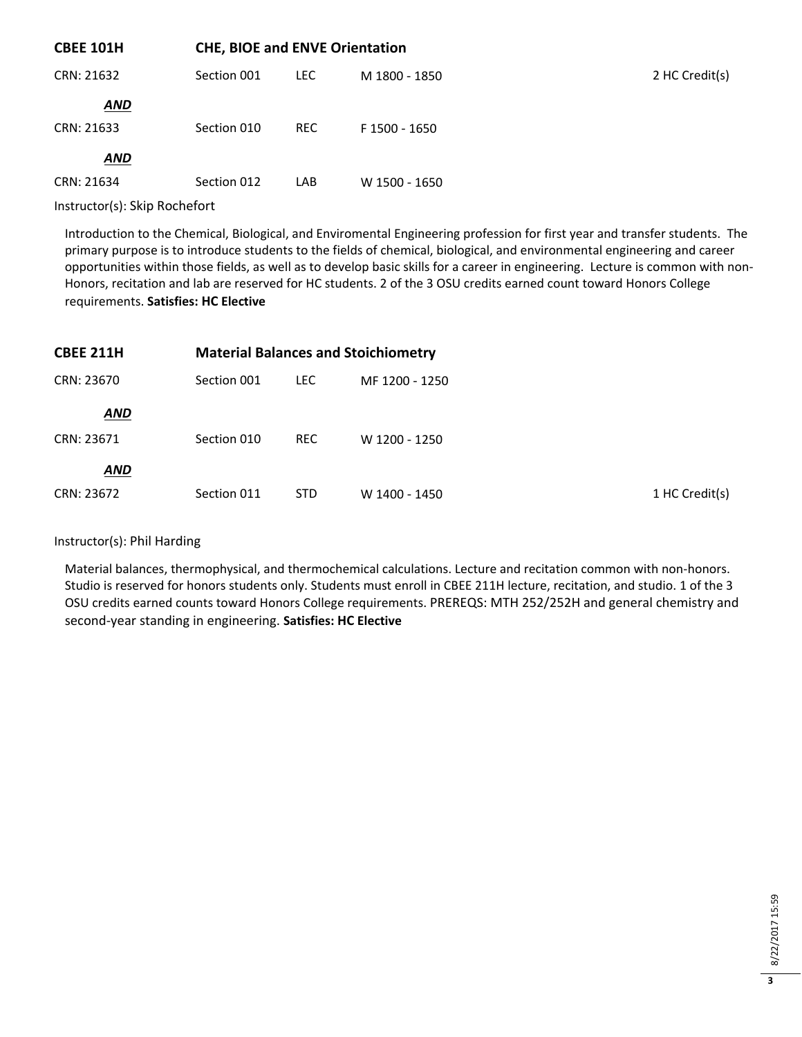| <b>CBEE 101H</b> |             | <b>CHE, BIOE and ENVE Orientation</b> |               |                |  |
|------------------|-------------|---------------------------------------|---------------|----------------|--|
| CRN: 21632       | Section 001 | <b>LEC</b>                            | M 1800 - 1850 | 2 HC Credit(s) |  |
| <b>AND</b>       |             |                                       |               |                |  |
| CRN: 21633       | Section 010 | <b>REC</b>                            | F 1500 - 1650 |                |  |
| <b>AND</b>       |             |                                       |               |                |  |
| CRN: 21634       | Section 012 | LAB                                   | W 1500 - 1650 |                |  |
|                  |             |                                       |               |                |  |

Instructor(s): Skip Rochefort

Introduction to the Chemical, Biological, and Enviromental Engineering profession for first year and transfer students. The primary purpose is to introduce students to the fields of chemical, biological, and environmental engineering and career opportunities within those fields, as well as to develop basic skills for a career in engineering. Lecture is common with non-Honors, recitation and lab are reserved for HC students. 2 of the 3 OSU credits earned count toward Honors College requirements. **Satisfies: HC Elective**

| <b>CBEE 211H</b> |             | <b>Material Balances and Stoichiometry</b> |                |                |  |  |  |
|------------------|-------------|--------------------------------------------|----------------|----------------|--|--|--|
| CRN: 23670       | Section 001 | LEC.                                       | MF 1200 - 1250 |                |  |  |  |
| <b>AND</b>       |             |                                            |                |                |  |  |  |
| CRN: 23671       | Section 010 | <b>REC</b>                                 | W 1200 - 1250  |                |  |  |  |
| <b>AND</b>       |             |                                            |                |                |  |  |  |
| CRN: 23672       | Section 011 | <b>STD</b>                                 | W 1400 - 1450  | 1 HC Credit(s) |  |  |  |

#### Instructor(s): Phil Harding

Material balances, thermophysical, and thermochemical calculations. Lecture and recitation common with non-honors. Studio is reserved for honors students only. Students must enroll in CBEE 211H lecture, recitation, and studio. 1 of the 3 OSU credits earned counts toward Honors College requirements. PREREQS: MTH 252/252H and general chemistry and second-year standing in engineering. **Satisfies: HC Elective**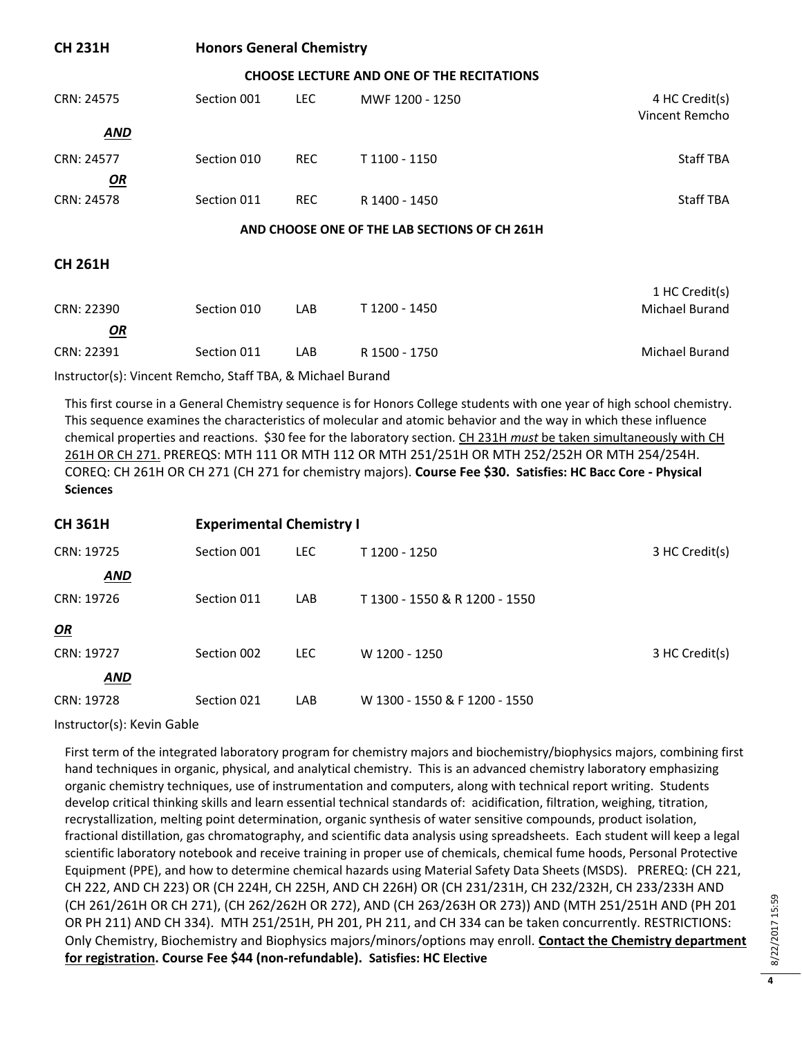| <b>CH 231H</b>                                | <b>Honors General Chemistry</b> |            |                                                  |                                  |  |  |
|-----------------------------------------------|---------------------------------|------------|--------------------------------------------------|----------------------------------|--|--|
|                                               |                                 |            | <b>CHOOSE LECTURE AND ONE OF THE RECITATIONS</b> |                                  |  |  |
| CRN: 24575                                    | Section 001                     | <b>LEC</b> | MWF 1200 - 1250                                  | 4 HC Credit(s)<br>Vincent Remcho |  |  |
| <b>AND</b>                                    |                                 |            |                                                  |                                  |  |  |
| CRN: 24577                                    | Section 010                     | <b>REC</b> | T 1100 - 1150                                    | <b>Staff TBA</b>                 |  |  |
| OR                                            |                                 |            |                                                  |                                  |  |  |
| CRN: 24578                                    | Section 011                     | <b>REC</b> | R 1400 - 1450                                    | <b>Staff TBA</b>                 |  |  |
| AND CHOOSE ONE OF THE LAB SECTIONS OF CH 261H |                                 |            |                                                  |                                  |  |  |
| <b>CH 261H</b>                                |                                 |            |                                                  |                                  |  |  |
|                                               |                                 |            |                                                  | 1 HC Credit(s)                   |  |  |
| CRN: 22390                                    | Section 010                     | LAB        | T 1200 - 1450                                    | Michael Burand                   |  |  |
| <b>OR</b>                                     |                                 |            |                                                  |                                  |  |  |

CRN: 22391 Section 011 LAB R 1500 - 1750 Michael Burand

Instructor(s): Vincent Remcho, Staff TBA, & Michael Burand

This first course in a General Chemistry sequence is for Honors College students with one year of high school chemistry. This sequence examines the characteristics of molecular and atomic behavior and the way in which these influence chemical properties and reactions. \$30 fee for the laboratory section. CH 231H *must* be taken simultaneously with CH 261H OR CH 271. PREREQS: MTH 111 OR MTH 112 OR MTH 251/251H OR MTH 252/252H OR MTH 254/254H. COREQ: CH 261H OR CH 271 (CH 271 for chemistry majors). **Course Fee \$30. Satisfies: HC Bacc Core - Physical Sciences**

| <b>CH 361H</b> | <b>Experimental Chemistry I</b> |            |                               |                |  |
|----------------|---------------------------------|------------|-------------------------------|----------------|--|
| CRN: 19725     | Section 001                     | <b>LEC</b> | T 1200 - 1250                 | 3 HC Credit(s) |  |
| <b>AND</b>     |                                 |            |                               |                |  |
| CRN: 19726     | Section 011                     | LAB        | T 1300 - 1550 & R 1200 - 1550 |                |  |
| OR             |                                 |            |                               |                |  |
| CRN: 19727     | Section 002                     | <b>LEC</b> | W 1200 - 1250                 | 3 HC Credit(s) |  |
| AND            |                                 |            |                               |                |  |
| CRN: 19728     | Section 021                     | LAB        | W 1300 - 1550 & F 1200 - 1550 |                |  |

Instructor(s): Kevin Gable

First term of the integrated laboratory program for chemistry majors and biochemistry/biophysics majors, combining first hand techniques in organic, physical, and analytical chemistry. This is an advanced chemistry laboratory emphasizing organic chemistry techniques, use of instrumentation and computers, along with technical report writing. Students develop critical thinking skills and learn essential technical standards of: acidification, filtration, weighing, titration, recrystallization, melting point determination, organic synthesis of water sensitive compounds, product isolation, fractional distillation, gas chromatography, and scientific data analysis using spreadsheets. Each student will keep a legal scientific laboratory notebook and receive training in proper use of chemicals, chemical fume hoods, Personal Protective Equipment (PPE), and how to determine chemical hazards using Material Safety Data Sheets (MSDS). PREREQ: (CH 221, CH 222, AND CH 223) OR (CH 224H, CH 225H, AND CH 226H) OR (CH 231/231H, CH 232/232H, CH 233/233H AND (CH 261/261H OR CH 271), (CH 262/262H OR 272), AND (CH 263/263H OR 273)) AND (MTH 251/251H AND (PH 201 OR PH 211) AND CH 334). MTH 251/251H, PH 201, PH 211, and CH 334 can be taken concurrently. RESTRICTIONS: Only Chemistry, Biochemistry and Biophysics majors/minors/options may enroll. **Contact the Chemistry department for registration. Course Fee \$44 (non-refundable). Satisfies: HC Elective**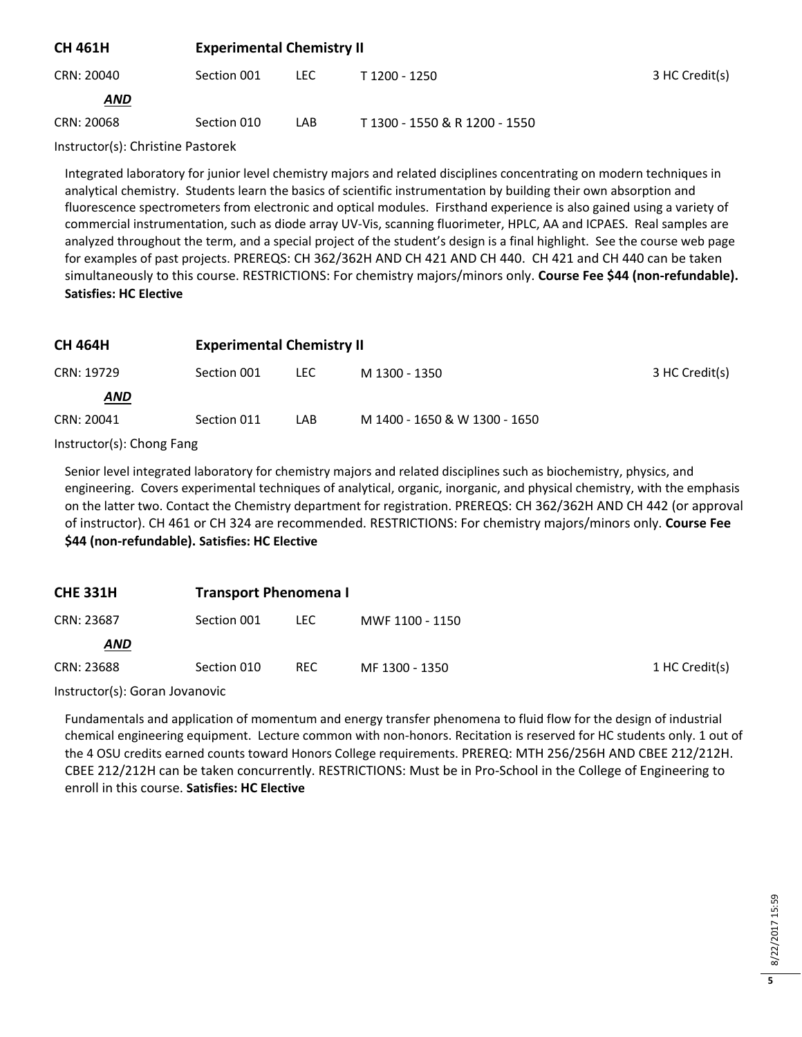| <b>CH 461H</b>                                                                                                                      | <b>Experimental Chemistry II</b> |      |                               |                |  |
|-------------------------------------------------------------------------------------------------------------------------------------|----------------------------------|------|-------------------------------|----------------|--|
| CRN: 20040                                                                                                                          | Section 001                      | LEC. | T 1200 - 1250                 | 3 HC Credit(s) |  |
| <b>AND</b>                                                                                                                          |                                  |      |                               |                |  |
| CRN: 20068                                                                                                                          | Section 010                      | LAB  | T 1300 - 1550 & R 1200 - 1550 |                |  |
| $\mathbf{A}$ and $\mathbf{A}$ and $\mathbf{A}$ and $\mathbf{A}$ and $\mathbf{A}$ and $\mathbf{A}$ and $\mathbf{A}$ and $\mathbf{A}$ |                                  |      |                               |                |  |

Instructor(s): Christine Pastorek

Integrated laboratory for junior level chemistry majors and related disciplines concentrating on modern techniques in analytical chemistry. Students learn the basics of scientific instrumentation by building their own absorption and fluorescence spectrometers from electronic and optical modules. Firsthand experience is also gained using a variety of commercial instrumentation, such as diode array UV-Vis, scanning fluorimeter, HPLC, AA and ICPAES. Real samples are analyzed throughout the term, and a special project of the student's design is a final highlight. See the course web page for examples of past projects. PREREQS: CH 362/362H AND CH 421 AND CH 440. CH 421 and CH 440 can be taken simultaneously to this course. RESTRICTIONS: For chemistry majors/minors only. **Course Fee \$44 (non-refundable). Satisfies: HC Elective**

| <b>CH 464H</b> | <b>Experimental Chemistry II</b> |      |                               |                |  |
|----------------|----------------------------------|------|-------------------------------|----------------|--|
| CRN: 19729     | Section 001                      | LEC. | M 1300 - 1350                 | 3 HC Credit(s) |  |
| <b>AND</b>     |                                  |      |                               |                |  |
| CRN: 20041     | Section 011                      | LAB  | M 1400 - 1650 & W 1300 - 1650 |                |  |

Instructor(s): Chong Fang

Senior level integrated laboratory for chemistry majors and related disciplines such as biochemistry, physics, and engineering. Covers experimental techniques of analytical, organic, inorganic, and physical chemistry, with the emphasis on the latter two. Contact the Chemistry department for registration. PREREQS: CH 362/362H AND CH 442 (or approval of instructor). CH 461 or CH 324 are recommended. RESTRICTIONS: For chemistry majors/minors only. **Course Fee \$44 (non-refundable). Satisfies: HC Elective**

| <b>CHE 331H</b> | <b>Transport Phenomena I</b> |            |                 |                |
|-----------------|------------------------------|------------|-----------------|----------------|
| CRN: 23687      | Section 001                  | LEC.       | MWF 1100 - 1150 |                |
| <b>AND</b>      |                              |            |                 |                |
| CRN: 23688      | Section 010                  | <b>REC</b> | MF 1300 - 1350  | 1 HC Credit(s) |

Instructor(s): Goran Jovanovic

Fundamentals and application of momentum and energy transfer phenomena to fluid flow for the design of industrial chemical engineering equipment. Lecture common with non-honors. Recitation is reserved for HC students only. 1 out of the 4 OSU credits earned counts toward Honors College requirements. PREREQ: MTH 256/256H AND CBEE 212/212H. CBEE 212/212H can be taken concurrently. RESTRICTIONS: Must be in Pro-School in the College of Engineering to enroll in this course. **Satisfies: HC Elective**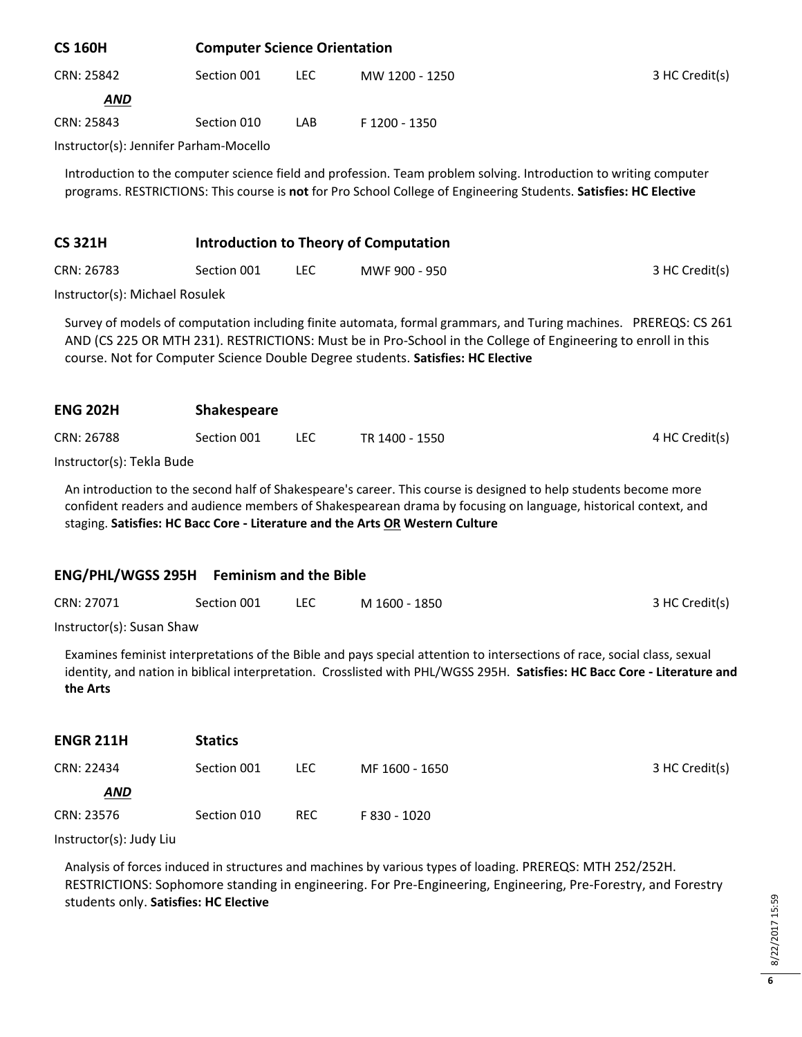| <b>CS 160H</b>                         |             | <b>Computer Science Orientation</b> |                |                |  |
|----------------------------------------|-------------|-------------------------------------|----------------|----------------|--|
| CRN: 25842                             | Section 001 | LEC.                                | MW 1200 - 1250 | 3 HC Credit(s) |  |
| <b>AND</b>                             |             |                                     |                |                |  |
| CRN: 25843                             | Section 010 | LAB                                 | F 1200 - 1350  |                |  |
| Instructor(s): Jennifer Parham-Mocello |             |                                     |                |                |  |

Introduction to the computer science field and profession. Team problem solving. Introduction to writing computer programs. RESTRICTIONS: This course is **not** for Pro School College of Engineering Students. **Satisfies: HC Elective**

#### **CS 321H Introduction to Theory of Computation**

| CRN: 26783 | Section 001 | <b>LEC</b> | MWF 900 - 950 | 3 HC Credit(s) |
|------------|-------------|------------|---------------|----------------|
|            |             |            |               |                |

Instructor(s): Michael Rosulek

Survey of models of computation including finite automata, formal grammars, and Turing machines. PREREQS: CS 261 AND (CS 225 OR MTH 231). RESTRICTIONS: Must be in Pro-School in the College of Engineering to enroll in this course. Not for Computer Science Double Degree students. **Satisfies: HC Elective**

| <b>ENG 202H</b> | <b>Shakespeare</b> |     |                |                |  |  |
|-----------------|--------------------|-----|----------------|----------------|--|--|
| CRN: 26788      | Section 001        | LEC | TR 1400 - 1550 | 4 HC Credit(s) |  |  |
|                 |                    |     |                |                |  |  |

Instructor(s): Tekla Bude

An introduction to the second half of Shakespeare's career. This course is designed to help students become more confident readers and audience members of Shakespearean drama by focusing on language, historical context, and staging. **Satisfies: HC Bacc Core - Literature and the Arts OR Western Culture**

#### **ENG/PHL/WGSS 295H Feminism and the Bible**

| CRN: 27071 | Section 001 | M 1600 - 1850 | 3 HC Credit(s) |
|------------|-------------|---------------|----------------|
|            |             |               |                |

Instructor(s): Susan Shaw

Examines feminist interpretations of the Bible and pays special attention to intersections of race, social class, sexual identity, and nation in biblical interpretation. Crosslisted with PHL/WGSS 295H. **Satisfies: HC Bacc Core - Literature and the Arts**

| <b>ENGR 211H</b> | <b>Statics</b> |            |                |                |
|------------------|----------------|------------|----------------|----------------|
| CRN: 22434       | Section 001    | LEC.       | MF 1600 - 1650 | 3 HC Credit(s) |
| <b>AND</b>       |                |            |                |                |
| CRN: 23576       | Section 010    | <b>REC</b> | F 830 - 1020   |                |

Instructor(s): Judy Liu

Analysis of forces induced in structures and machines by various types of loading. PREREQS: MTH 252/252H. RESTRICTIONS: Sophomore standing in engineering. For Pre-Engineering, Engineering, Pre-Forestry, and Forestry students only. **Satisfies: HC Elective**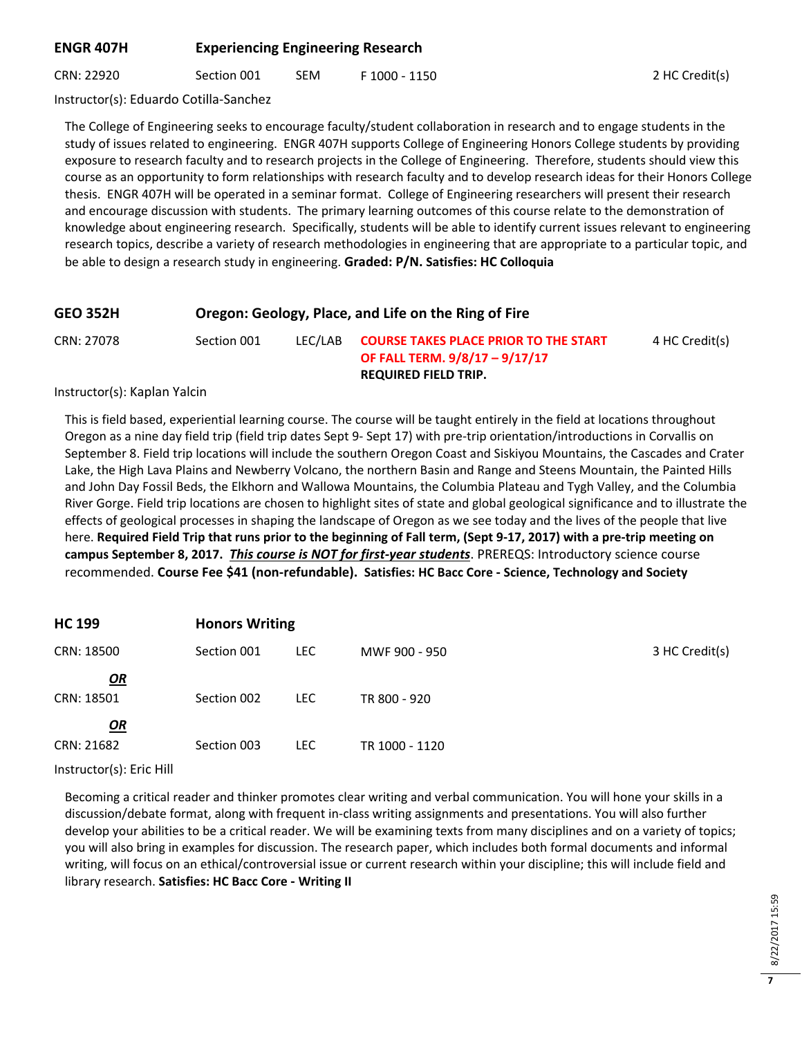## **ENGR 407H Experiencing Engineering Research**

CRN: 22920 Section 001 SEM F 1000 - 1150 2 HC Credit(s)

Instructor(s): Eduardo Cotilla-Sanchez

The College of Engineering seeks to encourage faculty/student collaboration in research and to engage students in the study of issues related to engineering. ENGR 407H supports College of Engineering Honors College students by providing exposure to research faculty and to research projects in the College of Engineering. Therefore, students should view this course as an opportunity to form relationships with research faculty and to develop research ideas for their Honors College thesis. ENGR 407H will be operated in a seminar format. College of Engineering researchers will present their research and encourage discussion with students. The primary learning outcomes of this course relate to the demonstration of knowledge about engineering research. Specifically, students will be able to identify current issues relevant to engineering research topics, describe a variety of research methodologies in engineering that are appropriate to a particular topic, and be able to design a research study in engineering. **Graded: P/N. Satisfies: HC Colloquia**

| <b>GEO 352H</b> | Oregon: Geology, Place, and Life on the Ring of Fire |         |                                                                                                               |                |
|-----------------|------------------------------------------------------|---------|---------------------------------------------------------------------------------------------------------------|----------------|
| CRN: 27078      | Section 001                                          | LEC/LAB | <b>COURSE TAKES PLACE PRIOR TO THE START</b><br>OF FALL TERM. 9/8/17 - 9/17/17<br><b>REQUIRED FIELD TRIP.</b> | 4 HC Credit(s) |

Instructor(s): Kaplan Yalcin

This is field based, experiential learning course. The course will be taught entirely in the field at locations throughout Oregon as a nine day field trip (field trip dates Sept 9- Sept 17) with pre-trip orientation/introductions in Corvallis on September 8. Field trip locations will include the southern Oregon Coast and Siskiyou Mountains, the Cascades and Crater Lake, the High Lava Plains and Newberry Volcano, the northern Basin and Range and Steens Mountain, the Painted Hills and John Day Fossil Beds, the Elkhorn and Wallowa Mountains, the Columbia Plateau and Tygh Valley, and the Columbia River Gorge. Field trip locations are chosen to highlight sites of state and global geological significance and to illustrate the effects of geological processes in shaping the landscape of Oregon as we see today and the lives of the people that live here. **Required Field Trip that runs prior to the beginning of Fall term, (Sept 9-17, 2017) with a pre-trip meeting on campus September 8, 2017.** *This course is NOT for first-year students*. PREREQS: Introductory science course recommended. **Course Fee \$41 (non-refundable). Satisfies: HC Bacc Core - Science, Technology and Society**

| <b>HC 199</b> | <b>Honors Writing</b> |            |                |                |
|---------------|-----------------------|------------|----------------|----------------|
| CRN: 18500    | Section 001           | LEC.       | MWF 900 - 950  | 3 HC Credit(s) |
| $\mathbf{Q}$  |                       |            |                |                |
| CRN: 18501    | Section 002           | <b>LEC</b> | TR 800 - 920   |                |
| $\mathbf{Q}$  |                       |            |                |                |
| CRN: 21682    | Section 003           | <b>LEC</b> | TR 1000 - 1120 |                |
|               |                       |            |                |                |

Instructor(s): Eric Hill

Becoming a critical reader and thinker promotes clear writing and verbal communication. You will hone your skills in a discussion/debate format, along with frequent in-class writing assignments and presentations. You will also further develop your abilities to be a critical reader. We will be examining texts from many disciplines and on a variety of topics; you will also bring in examples for discussion. The research paper, which includes both formal documents and informal writing, will focus on an ethical/controversial issue or current research within your discipline; this will include field and library research. **Satisfies: HC Bacc Core - Writing II**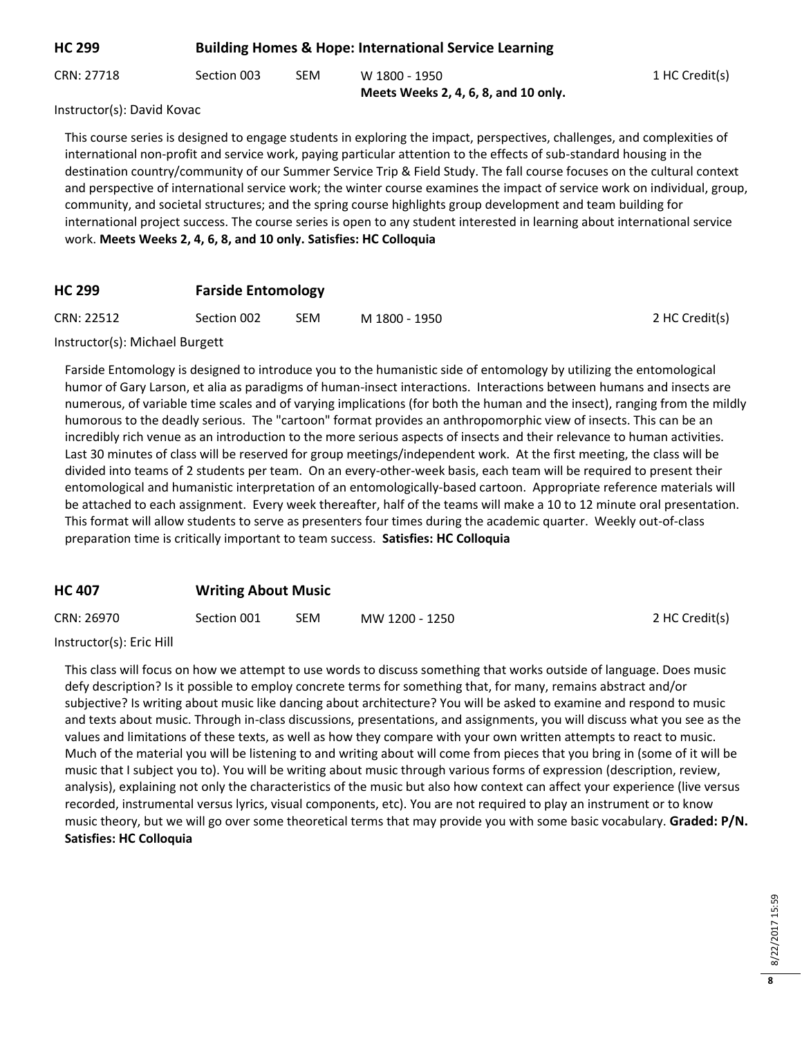| <b>HC 299</b> | <b>Building Homes &amp; Hope: International Service Learning</b> |     |                                                       |                |
|---------------|------------------------------------------------------------------|-----|-------------------------------------------------------|----------------|
| CRN: 27718    | Section 003                                                      | SEM | W 1800 - 1950<br>Meets Weeks 2, 4, 6, 8, and 10 only. | 1 HC Credit(s) |

Instructor(s): David Kovac

This course series is designed to engage students in exploring the impact, perspectives, challenges, and complexities of international non-profit and service work, paying particular attention to the effects of sub-standard housing in the destination country/community of our Summer Service Trip & Field Study. The fall course focuses on the cultural context and perspective of international service work; the winter course examines the impact of service work on individual, group, community, and societal structures; and the spring course highlights group development and team building for international project success. The course series is open to any student interested in learning about international service work. **Meets Weeks 2, 4, 6, 8, and 10 only. Satisfies: HC Colloquia**

# **HC 299 Farside Entomology**

| CRN: 22512<br>Section 002<br>SEM | M 1800 - 1950 | 2 HC Credit(s) |
|----------------------------------|---------------|----------------|
|----------------------------------|---------------|----------------|

#### Instructor(s): Michael Burgett

Farside Entomology is designed to introduce you to the humanistic side of entomology by utilizing the entomological humor of Gary Larson, et alia as paradigms of human-insect interactions. Interactions between humans and insects are numerous, of variable time scales and of varying implications (for both the human and the insect), ranging from the mildly humorous to the deadly serious. The "cartoon" format provides an anthropomorphic view of insects. This can be an incredibly rich venue as an introduction to the more serious aspects of insects and their relevance to human activities. Last 30 minutes of class will be reserved for group meetings/independent work. At the first meeting, the class will be divided into teams of 2 students per team. On an every-other-week basis, each team will be required to present their entomological and humanistic interpretation of an entomologically-based cartoon. Appropriate reference materials will be attached to each assignment. Every week thereafter, half of the teams will make a 10 to 12 minute oral presentation. This format will allow students to serve as presenters four times during the academic quarter. Weekly out-of-class preparation time is critically important to team success. **Satisfies: HC Colloquia**

## **HC 407 Writing About Music**

| CRN: 26970 | Section 001 | SEM | MW 1200 - 1250 | 2 HC Credit(s) |
|------------|-------------|-----|----------------|----------------|
|------------|-------------|-----|----------------|----------------|

Instructor(s): Eric Hill

This class will focus on how we attempt to use words to discuss something that works outside of language. Does music defy description? Is it possible to employ concrete terms for something that, for many, remains abstract and/or subjective? Is writing about music like dancing about architecture? You will be asked to examine and respond to music and texts about music. Through in-class discussions, presentations, and assignments, you will discuss what you see as the values and limitations of these texts, as well as how they compare with your own written attempts to react to music. Much of the material you will be listening to and writing about will come from pieces that you bring in (some of it will be music that I subject you to). You will be writing about music through various forms of expression (description, review, analysis), explaining not only the characteristics of the music but also how context can affect your experience (live versus recorded, instrumental versus lyrics, visual components, etc). You are not required to play an instrument or to know music theory, but we will go over some theoretical terms that may provide you with some basic vocabulary. **Graded: P/N. Satisfies: HC Colloquia**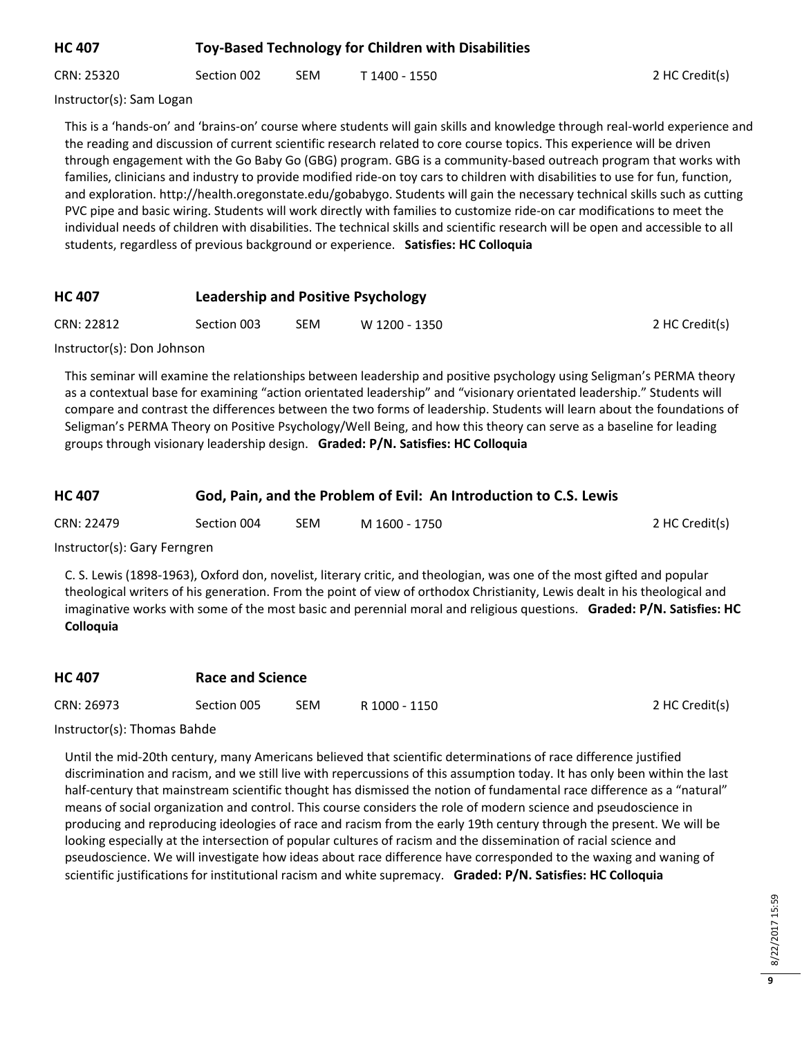# **HC 407 Toy-Based Technology for Children with Disabilities**

CRN: 25320 Section 002 SEM T 1400 - 1550 2 HC Credit(s)

Instructor(s): Sam Logan

This is a 'hands-on' and 'brains-on' course where students will gain skills and knowledge through real-world experience and the reading and discussion of current scientific research related to core course topics. This experience will be driven through engagement with the Go Baby Go (GBG) program. GBG is a community-based outreach program that works with families, clinicians and industry to provide modified ride-on toy cars to children with disabilities to use for fun, function, and exploration. http://health.oregonstate.edu/gobabygo. Students will gain the necessary technical skills such as cutting PVC pipe and basic wiring. Students will work directly with families to customize ride-on car modifications to meet the individual needs of children with disabilities. The technical skills and scientific research will be open and accessible to all students, regardless of previous background or experience. **Satisfies: HC Colloquia**

## **HC 407 Leadership and Positive Psychology**

| CRN: 22812 | Section 003 | <b>SEM</b> | W 1200 - 1350 | 2 HC Credit(s) |
|------------|-------------|------------|---------------|----------------|
|            |             |            |               |                |

Instructor(s): Don Johnson

This seminar will examine the relationships between leadership and positive psychology using Seligman's PERMA theory as a contextual base for examining "action orientated leadership" and "visionary orientated leadership." Students will compare and contrast the differences between the two forms of leadership. Students will learn about the foundations of Seligman's PERMA Theory on Positive Psychology/Well Being, and how this theory can serve as a baseline for leading groups through visionary leadership design. **Graded: P/N. Satisfies: HC Colloquia**

#### **HC 407 God, Pain, and the Problem of Evil: An Introduction to C.S. Lewis**

| CRN: 22479 | Section 004 | SEM | M 1600 - 1750 | 2 HC Credit(s) |
|------------|-------------|-----|---------------|----------------|
|------------|-------------|-----|---------------|----------------|

Instructor(s): Gary Ferngren

C. S. Lewis (1898-1963), Oxford don, novelist, literary critic, and theologian, was one of the most gifted and popular theological writers of his generation. From the point of view of orthodox Christianity, Lewis dealt in his theological and imaginative works with some of the most basic and perennial moral and religious questions. **Graded: P/N. Satisfies: HC Colloquia**

| <b>HC 407</b> | Race and Science |            |               |                |
|---------------|------------------|------------|---------------|----------------|
| CRN: 26973    | Section 005      | <b>SEM</b> | R 1000 - 1150 | 2 HC Credit(s) |

Instructor(s): Thomas Bahde

Until the mid-20th century, many Americans believed that scientific determinations of race difference justified discrimination and racism, and we still live with repercussions of this assumption today. It has only been within the last half-century that mainstream scientific thought has dismissed the notion of fundamental race difference as a "natural" means of social organization and control. This course considers the role of modern science and pseudoscience in producing and reproducing ideologies of race and racism from the early 19th century through the present. We will be looking especially at the intersection of popular cultures of racism and the dissemination of racial science and pseudoscience. We will investigate how ideas about race difference have corresponded to the waxing and waning of scientific justifications for institutional racism and white supremacy. **Graded: P/N. Satisfies: HC Colloquia**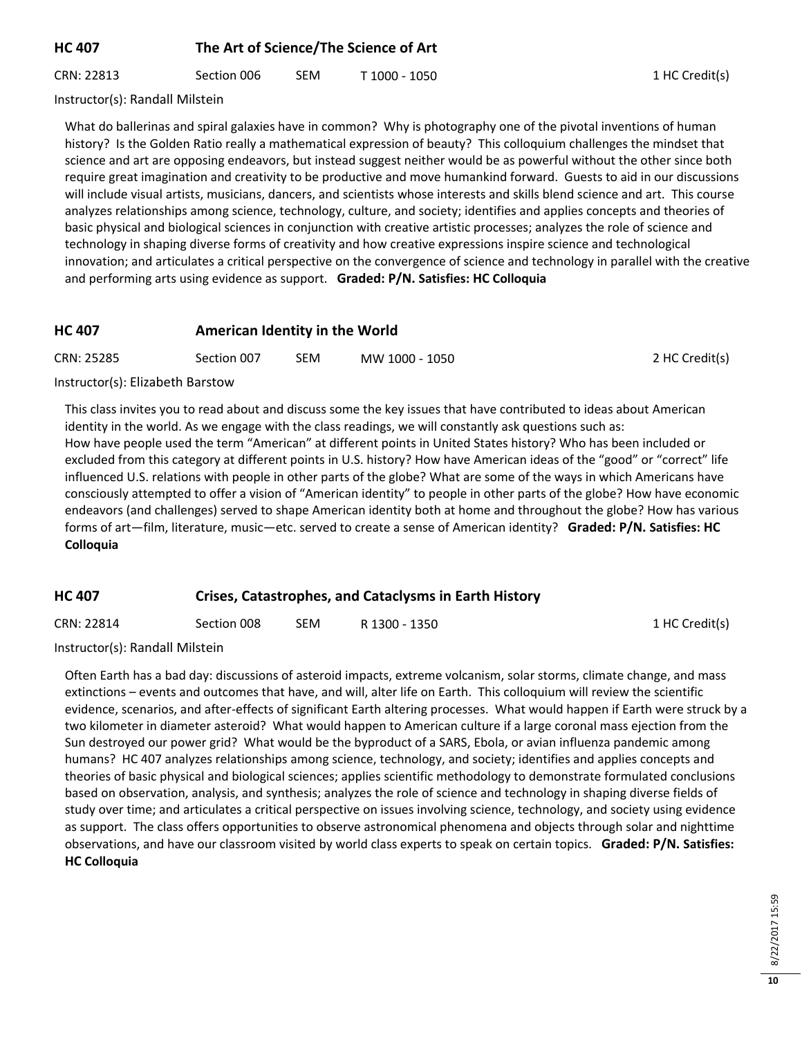# **HC 407 The Art of Science/The Science of Art**

CRN: 22813 Section 006 SEM T 1000 - 1050 1 CRN 1 HC Credit(s)

Instructor(s): Randall Milstein

What do ballerinas and spiral galaxies have in common? Why is photography one of the pivotal inventions of human history? Is the Golden Ratio really a mathematical expression of beauty? This colloquium challenges the mindset that science and art are opposing endeavors, but instead suggest neither would be as powerful without the other since both require great imagination and creativity to be productive and move humankind forward. Guests to aid in our discussions will include visual artists, musicians, dancers, and scientists whose interests and skills blend science and art. This course analyzes relationships among science, technology, culture, and society; identifies and applies concepts and theories of basic physical and biological sciences in conjunction with creative artistic processes; analyzes the role of science and technology in shaping diverse forms of creativity and how creative expressions inspire science and technological innovation; and articulates a critical perspective on the convergence of science and technology in parallel with the creative and performing arts using evidence as support. **Graded: P/N. Satisfies: HC Colloquia**

#### **HC 407 American Identity in the World**

| CRN: 25285 | Section 007 | <b>SEM</b> | MW 1000 - 1050 | 2 HC Credit(s) |
|------------|-------------|------------|----------------|----------------|
|            |             |            |                |                |

#### Instructor(s): Elizabeth Barstow

This class invites you to read about and discuss some the key issues that have contributed to ideas about American identity in the world. As we engage with the class readings, we will constantly ask questions such as: How have people used the term "American" at different points in United States history? Who has been included or excluded from this category at different points in U.S. history? How have American ideas of the "good" or "correct" life influenced U.S. relations with people in other parts of the globe? What are some of the ways in which Americans have consciously attempted to offer a vision of "American identity" to people in other parts of the globe? How have economic endeavors (and challenges) served to shape American identity both at home and throughout the globe? How has various forms of art—film, literature, music—etc. served to create a sense of American identity? **Graded: P/N. Satisfies: HC Colloquia**

#### **HC 407 Crises, Catastrophes, and Cataclysms in Earth History**

| CRN: 22814 | Section 008 | <b>SEM</b> | R 1300 - 1350 | 1 HC Credit(s) |
|------------|-------------|------------|---------------|----------------|
|------------|-------------|------------|---------------|----------------|

Instructor(s): Randall Milstein

Often Earth has a bad day: discussions of asteroid impacts, extreme volcanism, solar storms, climate change, and mass extinctions – events and outcomes that have, and will, alter life on Earth. This colloquium will review the scientific evidence, scenarios, and after-effects of significant Earth altering processes. What would happen if Earth were struck by a two kilometer in diameter asteroid? What would happen to American culture if a large coronal mass ejection from the Sun destroyed our power grid? What would be the byproduct of a SARS, Ebola, or avian influenza pandemic among humans? HC 407 analyzes relationships among science, technology, and society; identifies and applies concepts and theories of basic physical and biological sciences; applies scientific methodology to demonstrate formulated conclusions based on observation, analysis, and synthesis; analyzes the role of science and technology in shaping diverse fields of study over time; and articulates a critical perspective on issues involving science, technology, and society using evidence as support. The class offers opportunities to observe astronomical phenomena and objects through solar and nighttime observations, and have our classroom visited by world class experts to speak on certain topics. **Graded: P/N. Satisfies: HC Colloquia**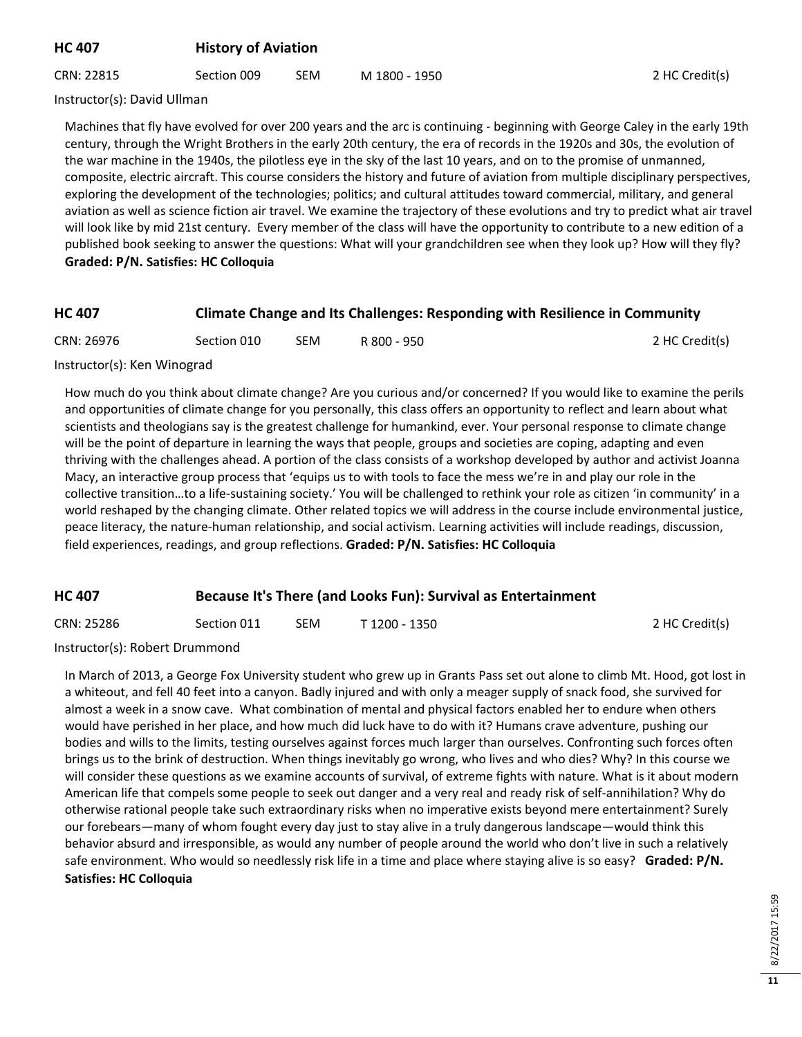## **HC 407 History of Aviation**

CRN: 22815 Section 009 SEM M 1800 - 1950 2 HC Credit(s)

Instructor(s): David Ullman

Machines that fly have evolved for over 200 years and the arc is continuing - beginning with George Caley in the early 19th century, through the Wright Brothers in the early 20th century, the era of records in the 1920s and 30s, the evolution of the war machine in the 1940s, the pilotless eye in the sky of the last 10 years, and on to the promise of unmanned, composite, electric aircraft. This course considers the history and future of aviation from multiple disciplinary perspectives, exploring the development of the technologies; politics; and cultural attitudes toward commercial, military, and general aviation as well as science fiction air travel. We examine the trajectory of these evolutions and try to predict what air travel will look like by mid 21st century. Every member of the class will have the opportunity to contribute to a new edition of a published book seeking to answer the questions: What will your grandchildren see when they look up? How will they fly? **Graded: P/N. Satisfies: HC Colloquia**

| <b>HC 407</b> | <b>Climate Change and Its Challenges: Responding with Resilience in Community</b> |  |
|---------------|-----------------------------------------------------------------------------------|--|
|---------------|-----------------------------------------------------------------------------------|--|

| CRN: 26976 | Section 010 | <b>SEM</b> | R 800 - 950 | 2 HC Credit(s) |
|------------|-------------|------------|-------------|----------------|
|            |             |            |             |                |

#### Instructor(s): Ken Winograd

How much do you think about climate change? Are you curious and/or concerned? If you would like to examine the perils and opportunities of climate change for you personally, this class offers an opportunity to reflect and learn about what scientists and theologians say is the greatest challenge for humankind, ever. Your personal response to climate change will be the point of departure in learning the ways that people, groups and societies are coping, adapting and even thriving with the challenges ahead. A portion of the class consists of a workshop developed by author and activist Joanna Macy, an interactive group process that 'equips us to with tools to face the mess we're in and play our role in the collective transition…to a life-sustaining society.' You will be challenged to rethink your role as citizen 'in community' in a world reshaped by the changing climate. Other related topics we will address in the course include environmental justice, peace literacy, the nature-human relationship, and social activism. Learning activities will include readings, discussion, field experiences, readings, and group reflections. **Graded: P/N. Satisfies: HC Colloquia**

## **HC 407 Because It's There (and Looks Fun): Survival as Entertainment**

| CRN: 25286 | Section 011 | SEM | T 1200 - 1350 | 2 HC Credit(s) |
|------------|-------------|-----|---------------|----------------|
|------------|-------------|-----|---------------|----------------|

Instructor(s): Robert Drummond

In March of 2013, a George Fox University student who grew up in Grants Pass set out alone to climb Mt. Hood, got lost in a whiteout, and fell 40 feet into a canyon. Badly injured and with only a meager supply of snack food, she survived for almost a week in a snow cave. What combination of mental and physical factors enabled her to endure when others would have perished in her place, and how much did luck have to do with it? Humans crave adventure, pushing our bodies and wills to the limits, testing ourselves against forces much larger than ourselves. Confronting such forces often brings us to the brink of destruction. When things inevitably go wrong, who lives and who dies? Why? In this course we will consider these questions as we examine accounts of survival, of extreme fights with nature. What is it about modern American life that compels some people to seek out danger and a very real and ready risk of self-annihilation? Why do otherwise rational people take such extraordinary risks when no imperative exists beyond mere entertainment? Surely our forebears—many of whom fought every day just to stay alive in a truly dangerous landscape—would think this behavior absurd and irresponsible, as would any number of people around the world who don't live in such a relatively safe environment. Who would so needlessly risk life in a time and place where staying alive is so easy? **Graded: P/N. Satisfies: HC Colloquia**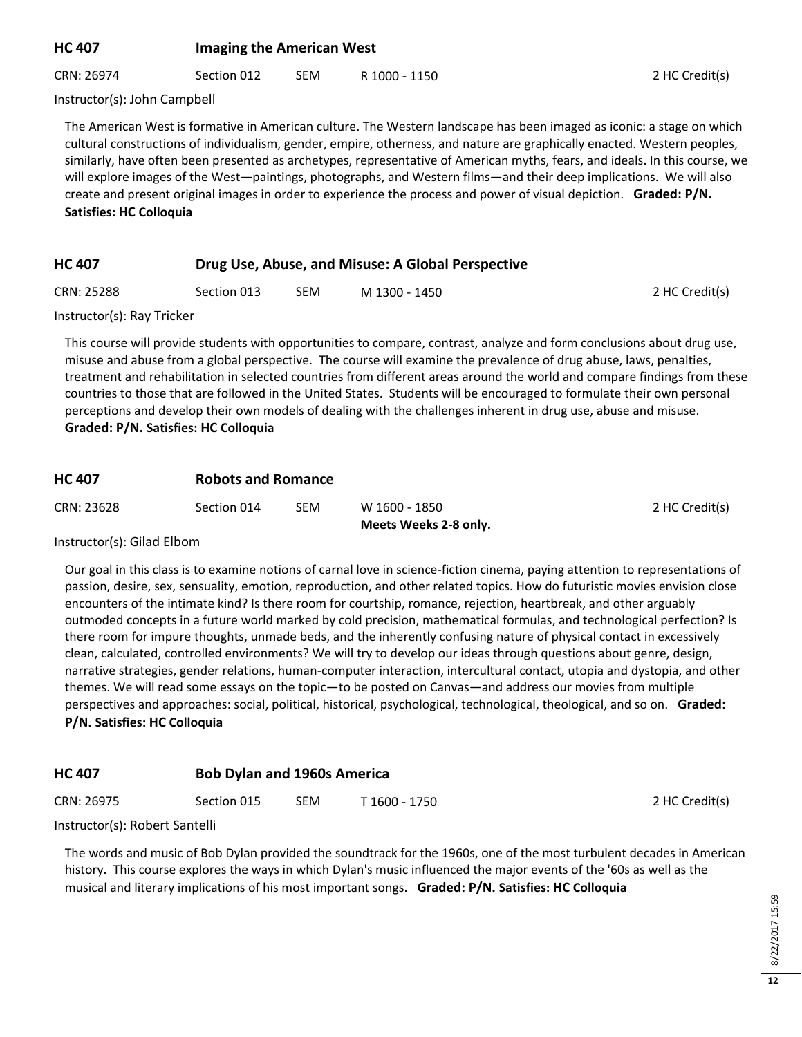## **HC 407 Imaging the American West**

CRN: 26974 Section 012 SEM R 1000 - 1150 2 HC Credit(s)

Instructor(s): John Campbell

The American West is formative in American culture. The Western landscape has been imaged as iconic: a stage on which cultural constructions of individualism, gender, empire, otherness, and nature are graphically enacted. Western peoples, similarly, have often been presented as archetypes, representative of American myths, fears, and ideals. In this course, we will explore images of the West—paintings, photographs, and Western films—and their deep implications. We will also create and present original images in order to experience the process and power of visual depiction. **Graded: P/N. Satisfies: HC Colloquia**

# **HC 407 Drug Use, Abuse, and Misuse: A Global Perspective**

| 2 HC Credit(s) |
|----------------|
|                |

Instructor(s): Ray Tricker

This course will provide students with opportunities to compare, contrast, analyze and form conclusions about drug use, misuse and abuse from a global perspective. The course will examine the prevalence of drug abuse, laws, penalties, treatment and rehabilitation in selected countries from different areas around the world and compare findings from these countries to those that are followed in the United States. Students will be encouraged to formulate their own personal perceptions and develop their own models of dealing with the challenges inherent in drug use, abuse and misuse. **Graded: P/N. Satisfies: HC Colloquia**

| <b>HC 407</b> |             | <b>Robots and Romance</b> |                       |                |  |  |
|---------------|-------------|---------------------------|-----------------------|----------------|--|--|
| CRN: 23628    | Section 014 | SEM                       | W 1600 - 1850         | 2 HC Credit(s) |  |  |
|               |             |                           | Meets Weeks 2-8 only. |                |  |  |

#### Instructor(s): Gilad Elbom

Our goal in this class is to examine notions of carnal love in science-fiction cinema, paying attention to representations of passion, desire, sex, sensuality, emotion, reproduction, and other related topics. How do futuristic movies envision close encounters of the intimate kind? Is there room for courtship, romance, rejection, heartbreak, and other arguably outmoded concepts in a future world marked by cold precision, mathematical formulas, and technological perfection? Is there room for impure thoughts, unmade beds, and the inherently confusing nature of physical contact in excessively clean, calculated, controlled environments? We will try to develop our ideas through questions about genre, design, narrative strategies, gender relations, human-computer interaction, intercultural contact, utopia and dystopia, and other themes. We will read some essays on the topic—to be posted on Canvas—and address our movies from multiple perspectives and approaches: social, political, historical, psychological, technological, theological, and so on. **Graded: P/N. Satisfies: HC Colloquia**

## **HC 407 Bob Dylan and 1960s America**

| CRN: 26975 | Section 015 | SEM | T 1600 - 1750 | 2 HC Credit(s) |
|------------|-------------|-----|---------------|----------------|
| .          |             |     |               |                |

Instructor(s): Robert Santelli

The words and music of Bob Dylan provided the soundtrack for the 1960s, one of the most turbulent decades in American history. This course explores the ways in which Dylan's music influenced the major events of the '60s as well as the musical and literary implications of his most important songs. **Graded: P/N. Satisfies: HC Colloquia**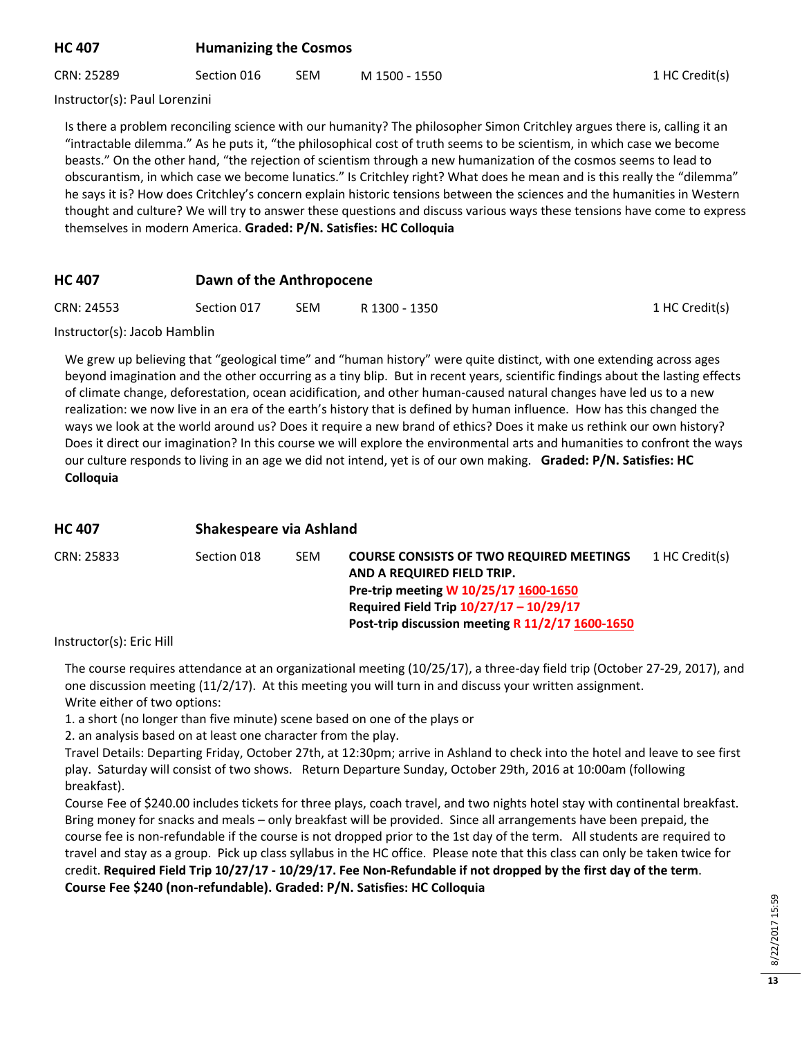| <b>Humanizing the Cosmos</b> |
|------------------------------|
|                              |

CRN: 25289 Section 016 SEM M 1500 - 1550 1HC Credit(s)

1 HC Credit(s)

Instructor(s): Paul Lorenzini

Is there a problem reconciling science with our humanity? The philosopher Simon Critchley argues there is, calling it an "intractable dilemma." As he puts it, "the philosophical cost of truth seems to be scientism, in which case we become beasts." On the other hand, "the rejection of scientism through a new humanization of the cosmos seems to lead to obscurantism, in which case we become lunatics." Is Critchley right? What does he mean and is this really the "dilemma" he says it is? How does Critchley's concern explain historic tensions between the sciences and the humanities in Western thought and culture? We will try to answer these questions and discuss various ways these tensions have come to express themselves in modern America. **Graded: P/N. Satisfies: HC Colloquia**

#### **HC 407 Dawn of the Anthropocene**

| CRN: 24553 | Section 017 | <b>SEM</b> | R 1300 - 1350 |  |
|------------|-------------|------------|---------------|--|
|------------|-------------|------------|---------------|--|

Instructor(s): Jacob Hamblin

We grew up believing that "geological time" and "human history" were quite distinct, with one extending across ages beyond imagination and the other occurring as a tiny blip. But in recent years, scientific findings about the lasting effects of climate change, deforestation, ocean acidification, and other human-caused natural changes have led us to a new realization: we now live in an era of the earth's history that is defined by human influence. How has this changed the ways we look at the world around us? Does it require a new brand of ethics? Does it make us rethink our own history? Does it direct our imagination? In this course we will explore the environmental arts and humanities to confront the ways our culture responds to living in an age we did not intend, yet is of our own making. **Graded: P/N. Satisfies: HC Colloquia**

| <b>HC 407</b> | Shakespeare via Ashland |            |                                                                                                                                                                                                                       |                |  |  |
|---------------|-------------------------|------------|-----------------------------------------------------------------------------------------------------------------------------------------------------------------------------------------------------------------------|----------------|--|--|
| CRN: 25833    | Section 018             | <b>SEM</b> | <b>COURSE CONSISTS OF TWO REQUIRED MEETINGS</b><br>AND A REQUIRED FIELD TRIP.<br>Pre-trip meeting W 10/25/17 1600-1650<br>Required Field Trip 10/27/17 - 10/29/17<br>Post-trip discussion meeting R 11/2/17 1600-1650 | 1 HC Credit(s) |  |  |
|               |                         |            |                                                                                                                                                                                                                       |                |  |  |

Instructor(s): Eric Hill

The course requires attendance at an organizational meeting (10/25/17), a three-day field trip (October 27-29, 2017), and one discussion meeting (11/2/17). At this meeting you will turn in and discuss your written assignment. Write either of two options:

1. a short (no longer than five minute) scene based on one of the plays or

2. an analysis based on at least one character from the play.

Travel Details: Departing Friday, October 27th, at 12:30pm; arrive in Ashland to check into the hotel and leave to see first play. Saturday will consist of two shows. Return Departure Sunday, October 29th, 2016 at 10:00am (following breakfast).

Course Fee of \$240.00 includes tickets for three plays, coach travel, and two nights hotel stay with continental breakfast. Bring money for snacks and meals – only breakfast will be provided. Since all arrangements have been prepaid, the course fee is non-refundable if the course is not dropped prior to the 1st day of the term. All students are required to travel and stay as a group. Pick up class syllabus in the HC office. Please note that this class can only be taken twice for credit. **Required Field Trip 10/27/17 - 10/29/17. Fee Non-Refundable if not dropped by the first day of the term**. **Course Fee \$240 (non-refundable). Graded: P/N. Satisfies: HC Colloquia**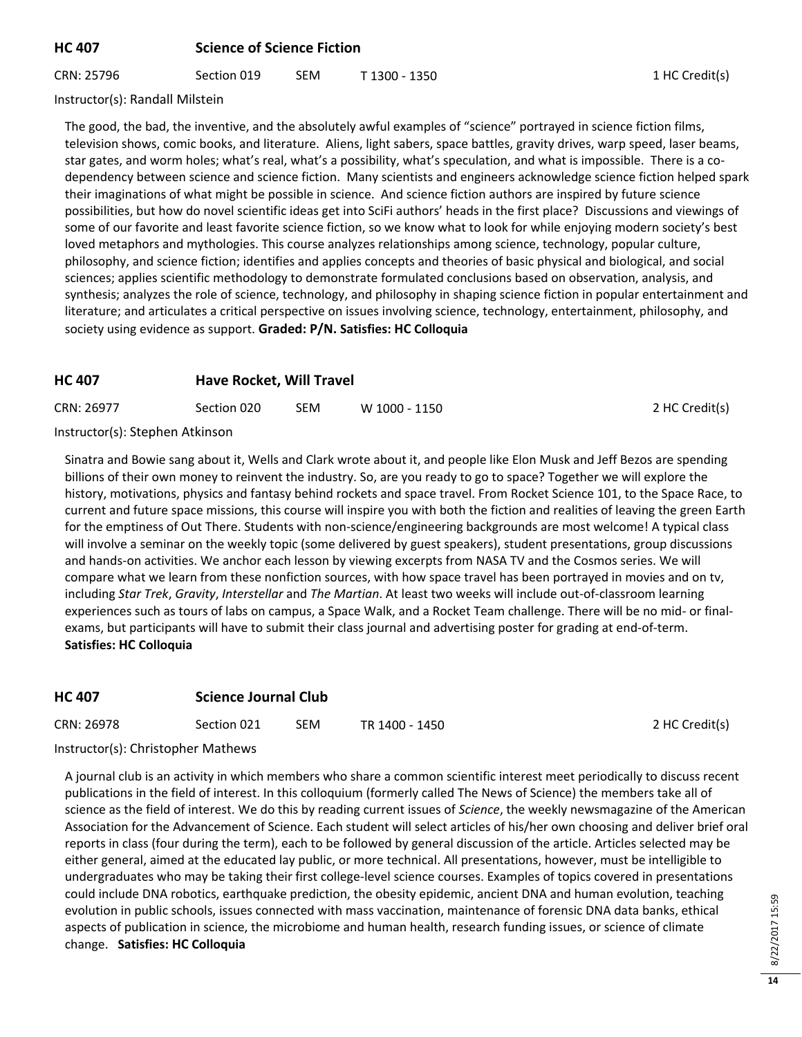#### **HC 407 Science of Science Fiction**

CRN: 25796 Section 019 SEM T 1300 - 1350 1 HC Credit(s)

Instructor(s): Randall Milstein

The good, the bad, the inventive, and the absolutely awful examples of "science" portrayed in science fiction films, television shows, comic books, and literature. Aliens, light sabers, space battles, gravity drives, warp speed, laser beams, star gates, and worm holes; what's real, what's a possibility, what's speculation, and what is impossible. There is a codependency between science and science fiction. Many scientists and engineers acknowledge science fiction helped spark their imaginations of what might be possible in science. And science fiction authors are inspired by future science possibilities, but how do novel scientific ideas get into SciFi authors' heads in the first place? Discussions and viewings of some of our favorite and least favorite science fiction, so we know what to look for while enjoying modern society's best loved metaphors and mythologies. This course analyzes relationships among science, technology, popular culture, philosophy, and science fiction; identifies and applies concepts and theories of basic physical and biological, and social sciences; applies scientific methodology to demonstrate formulated conclusions based on observation, analysis, and synthesis; analyzes the role of science, technology, and philosophy in shaping science fiction in popular entertainment and literature; and articulates a critical perspective on issues involving science, technology, entertainment, philosophy, and society using evidence as support. **Graded: P/N. Satisfies: HC Colloquia**

## **HC 407 Have Rocket, Will Travel**

| CRN: 26977                                                                       | Section 020 | SEM | W 1000 - 1150 | 2 HC Credit(s) |
|----------------------------------------------------------------------------------|-------------|-----|---------------|----------------|
| $\mathbf{r}$ and $\mathbf{r}$ and $\mathbf{r}$ and $\mathbf{r}$ and $\mathbf{r}$ |             |     |               |                |

Instructor(s): Stephen Atkinson

Sinatra and Bowie sang about it, Wells and Clark wrote about it, and people like Elon Musk and Jeff Bezos are spending billions of their own money to reinvent the industry. So, are you ready to go to space? Together we will explore the history, motivations, physics and fantasy behind rockets and space travel. From Rocket Science 101, to the Space Race, to current and future space missions, this course will inspire you with both the fiction and realities of leaving the green Earth for the emptiness of Out There. Students with non-science/engineering backgrounds are most welcome! A typical class will involve a seminar on the weekly topic (some delivered by guest speakers), student presentations, group discussions and hands-on activities. We anchor each lesson by viewing excerpts from NASA TV and the Cosmos series. We will compare what we learn from these nonfiction sources, with how space travel has been portrayed in movies and on tv, including *Star Trek*, *Gravity*, *Interstellar* and *The Martian*. At least two weeks will include out-of-classroom learning experiences such as tours of labs on campus, a Space Walk, and a Rocket Team challenge. There will be no mid- or finalexams, but participants will have to submit their class journal and advertising poster for grading at end-of-term. **Satisfies: HC Colloquia**

## **HC 407 Science Journal Club**

| CRN: 26978 | Section 021 | SEM | TR 1400 - 1450 | 2 HC Credit(s) |
|------------|-------------|-----|----------------|----------------|
|------------|-------------|-----|----------------|----------------|

Instructor(s): Christopher Mathews

A journal club is an activity in which members who share a common scientific interest meet periodically to discuss recent publications in the field of interest. In this colloquium (formerly called The News of Science) the members take all of science as the field of interest. We do this by reading current issues of *Science*, the weekly newsmagazine of the American Association for the Advancement of Science. Each student will select articles of his/her own choosing and deliver brief oral reports in class (four during the term), each to be followed by general discussion of the article. Articles selected may be either general, aimed at the educated lay public, or more technical. All presentations, however, must be intelligible to undergraduates who may be taking their first college-level science courses. Examples of topics covered in presentations could include DNA robotics, earthquake prediction, the obesity epidemic, ancient DNA and human evolution, teaching evolution in public schools, issues connected with mass vaccination, maintenance of forensic DNA data banks, ethical aspects of publication in science, the microbiome and human health, research funding issues, or science of climate change. **Satisfies: HC Colloquia**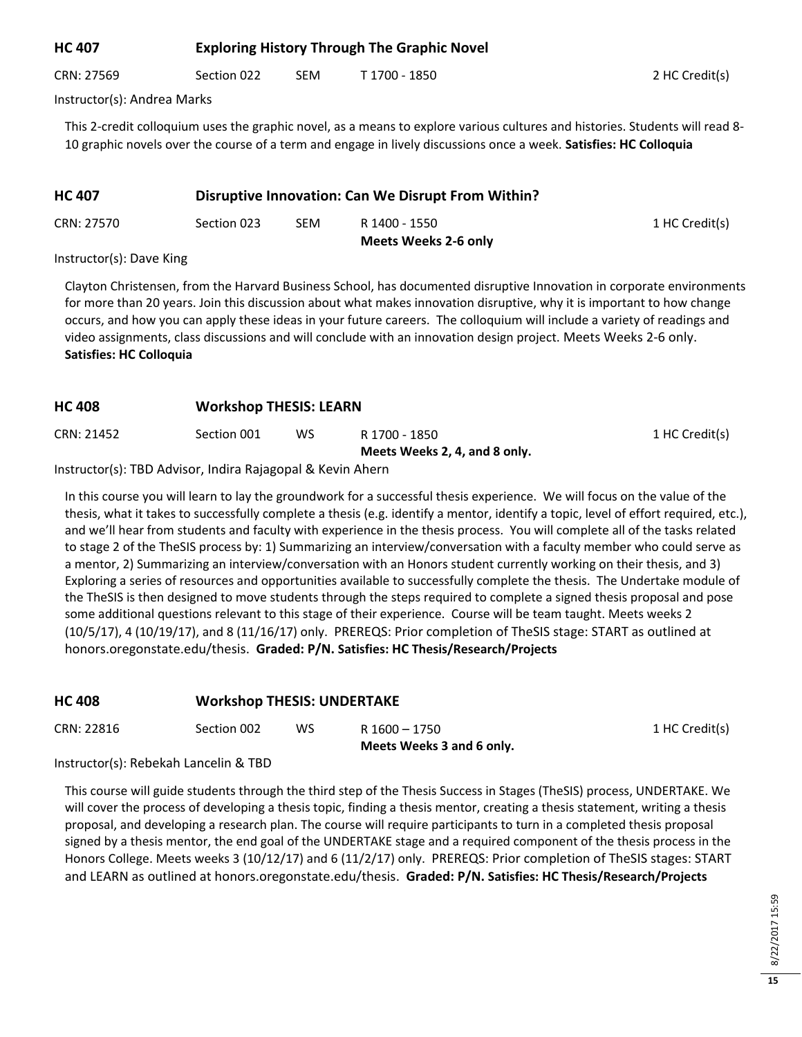## **HC 407 Exploring History Through The Graphic Novel**

CRN: 27569 Section 022 SEM T 1700 - 1850 2 HC Credit(s)

Instructor(s): Andrea Marks

This 2-credit colloquium uses the graphic novel, as a means to explore various cultures and histories. Students will read 8- 10 graphic novels over the course of a term and engage in lively discussions once a week. **Satisfies: HC Colloquia**

| <b>HC 407</b> | Disruptive Innovation: Can We Disrupt From Within? |     |                                              |                |
|---------------|----------------------------------------------------|-----|----------------------------------------------|----------------|
| CRN: 27570    | Section 023                                        | SEM | R 1400 - 1550<br><b>Meets Weeks 2-6 only</b> | 1 HC Credit(s) |

#### Instructor(s): Dave King

Clayton Christensen, from the Harvard Business School, has documented disruptive Innovation in corporate environments for more than 20 years. Join this discussion about what makes innovation disruptive, why it is important to how change occurs, and how you can apply these ideas in your future careers. The colloquium will include a variety of readings and video assignments, class discussions and will conclude with an innovation design project. Meets Weeks 2-6 only. **Satisfies: HC Colloquia**

#### **HC 408 Workshop THESIS: LEARN**

| CRN: 21452 | Section 001 | WS | R 1700 - 1850                 | 1 HC Credit(s) |
|------------|-------------|----|-------------------------------|----------------|
|            |             |    | Meets Weeks 2, 4, and 8 only. |                |
| .          |             |    |                               |                |

Instructor(s): TBD Advisor, Indira Rajagopal & Kevin Ahern

In this course you will learn to lay the groundwork for a successful thesis experience. We will focus on the value of the thesis, what it takes to successfully complete a thesis (e.g. identify a mentor, identify a topic, level of effort required, etc.), and we'll hear from students and faculty with experience in the thesis process. You will complete all of the tasks related to stage 2 of the TheSIS process by: 1) Summarizing an interview/conversation with a faculty member who could serve as a mentor, 2) Summarizing an interview/conversation with an Honors student currently working on their thesis, and 3) Exploring a series of resources and opportunities available to successfully complete the thesis. The Undertake module of the TheSIS is then designed to move students through the steps required to complete a signed thesis proposal and pose some additional questions relevant to this stage of their experience. Course will be team taught. Meets weeks 2 (10/5/17), 4 (10/19/17), and 8 (11/16/17) only. PREREQS: Prior completion of TheSIS stage: START as outlined at honors.oregonstate.edu/thesis. **Graded: P/N. Satisfies: HC Thesis/Research/Projects**

#### **HC 408 Workshop THESIS: UNDERTAKE**

|            |             |     | Meets Weeks 3 and 6 only. |                |
|------------|-------------|-----|---------------------------|----------------|
| CRN: 22816 | Section 002 | WS. | R 1600 - 1750             | 1 HC Credit(s) |

Instructor(s): Rebekah Lancelin & TBD

This course will guide students through the third step of the Thesis Success in Stages (TheSIS) process, UNDERTAKE. We will cover the process of developing a thesis topic, finding a thesis mentor, creating a thesis statement, writing a thesis proposal, and developing a research plan. The course will require participants to turn in a completed thesis proposal signed by a thesis mentor, the end goal of the UNDERTAKE stage and a required component of the thesis process in the Honors College. Meets weeks 3 (10/12/17) and 6 (11/2/17) only. PREREQS: Prior completion of TheSIS stages: START and LEARN as outlined at honors.oregonstate.edu/thesis. **Graded: P/N. Satisfies: HC Thesis/Research/Projects**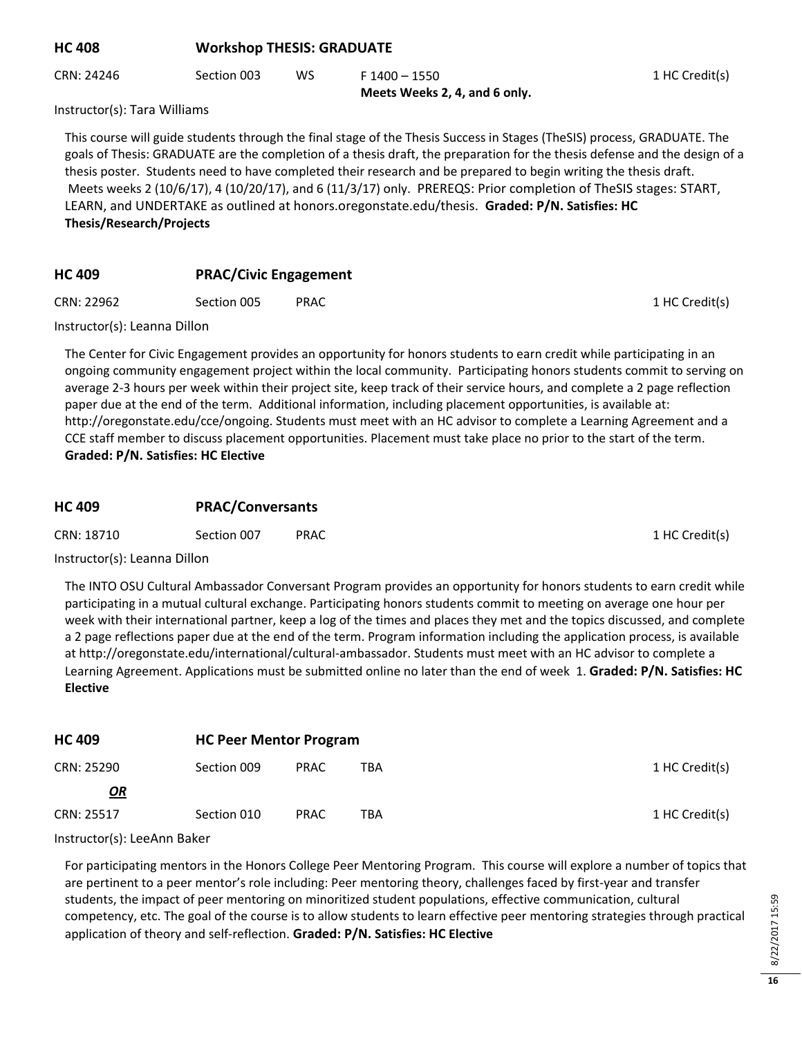| <b>HC 408</b>                | <b>Workshop THESIS: GRADUATE</b> |     |                                                                                                                         |                |  |  |
|------------------------------|----------------------------------|-----|-------------------------------------------------------------------------------------------------------------------------|----------------|--|--|
| CRN: 24246                   | Section 003                      | WS. | $F 1400 - 1550$<br>Meets Weeks 2, 4, and 6 only.                                                                        | 1 HC Credit(s) |  |  |
| Instructor(s): Tara Williams |                                  |     |                                                                                                                         |                |  |  |
|                              |                                  |     | This course will guide students through the final stage of the Thesis Success in Stages (TheSIS) process, GRADUATE. The |                |  |  |

goals of Thesis: GRADUATE are the completion of a thesis draft, the preparation for the thesis defense and the design of a thesis poster. Students need to have completed their research and be prepared to begin writing the thesis draft. Meets weeks 2 (10/6/17), 4 (10/20/17), and 6 (11/3/17) only. PREREQS: Prior completion of TheSIS stages: START, LEARN, and UNDERTAKE as outlined at honors.oregonstate.edu/thesis. **Graded: P/N. Satisfies: HC Thesis/Research/Projects**

## **HC 409 PRAC/Civic Engagement**

CRN: 22962 Section 005 PRAC 1 HC Credit(s)

Instructor(s): Leanna Dillon

The Center for Civic Engagement provides an opportunity for honors students to earn credit while participating in an ongoing community engagement project within the local community. Participating honors students commit to serving on average 2-3 hours per week within their project site, keep track of their service hours, and complete a 2 page reflection paper due at the end of the term. Additional information, including placement opportunities, is available at: http://oregonstate.edu/cce/ongoing. Students must meet with an HC advisor to complete a Learning Agreement and a CCE staff member to discuss placement opportunities. Placement must take place no prior to the start of the term. **Graded: P/N. Satisfies: HC Elective**

## **HC 409 PRAC/Conversants**

CRN: 18710 Section 007 PRAC 1 HC Credit(s)

Instructor(s): Leanna Dillon

The INTO OSU Cultural Ambassador Conversant Program provides an opportunity for honors students to earn credit while participating in a mutual cultural exchange. Participating honors students commit to meeting on average one hour per week with their international partner, keep a log of the times and places they met and the topics discussed, and complete a 2 page reflections paper due at the end of the term. Program information including the application process, is available at http://oregonstate.edu/international/cultural-ambassador. Students must meet with an HC advisor to complete a Learning Agreement. Applications must be submitted online no later than the end of week 1. **Graded: P/N. Satisfies: HC Elective**

| <b>HC 409</b> | <b>HC Peer Mentor Program</b> |             |            |                |
|---------------|-------------------------------|-------------|------------|----------------|
| CRN: 25290    | Section 009                   | <b>PRAC</b> | TBA        | 1 HC Credit(s) |
| <u>OR</u>     |                               |             |            |                |
| CRN: 25517    | Section 010                   | <b>PRAC</b> | <b>TBA</b> | 1 HC Credit(s) |

Instructor(s): LeeAnn Baker

For participating mentors in the Honors College Peer Mentoring Program. This course will explore a number of topics that are pertinent to a peer mentor's role including: Peer mentoring theory, challenges faced by first-year and transfer students, the impact of peer mentoring on minoritized student populations, effective communication, cultural competency, etc. The goal of the course is to allow students to learn effective peer mentoring strategies through practical application of theory and self-reflection. **Graded: P/N. Satisfies: HC Elective**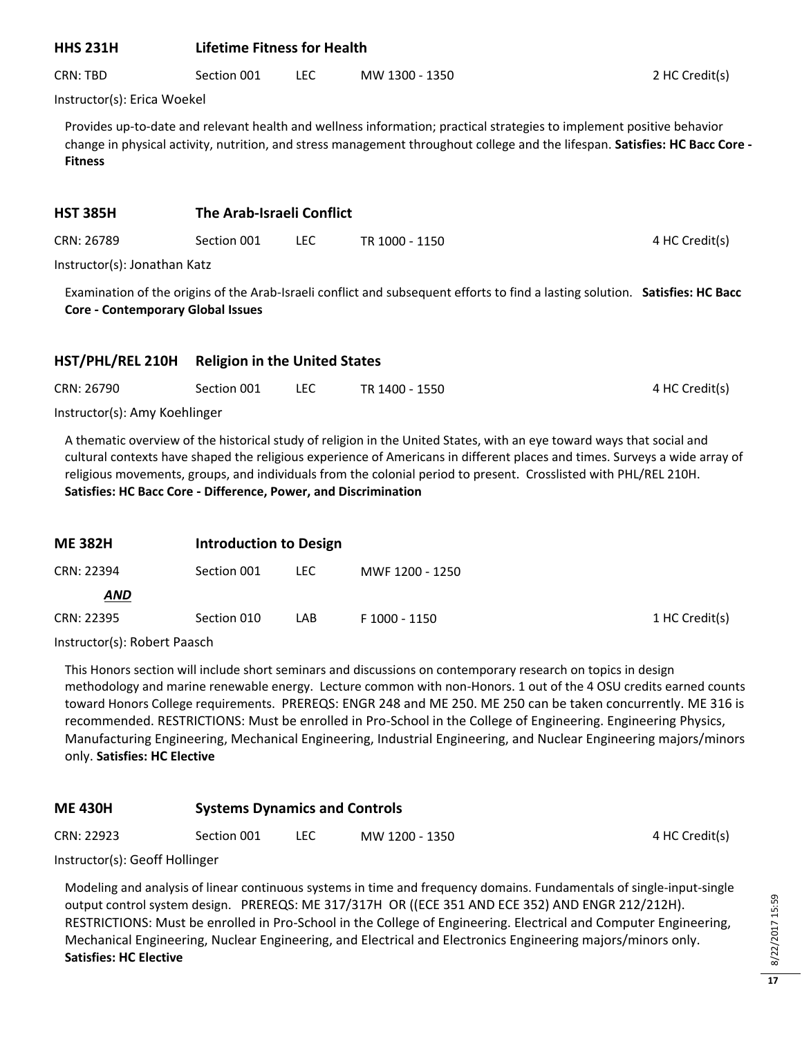## **HHS 231H Lifetime Fitness for Health**

CRN: TBD Section 001 LEC MW 1300 - 1350 2 HC Credit(s)

Instructor(s): Erica Woekel

Provides up-to-date and relevant health and wellness information; practical strategies to implement positive behavior change in physical activity, nutrition, and stress management throughout college and the lifespan. **Satisfies: HC Bacc Core - Fitness**

#### **HST 385H The Arab-Israeli Conflict**

CRN: 26789 Section 001 LEC TR 1000 - 1150 A Great Credit(s)

Instructor(s): Jonathan Katz

Examination of the origins of the Arab-Israeli conflict and subsequent efforts to find a lasting solution. **Satisfies: HC Bacc Core - Contemporary Global Issues**

## **HST/PHL/REL 210H Religion in the United States**

| CRN: 26790 | Section 001 | TR 1400 - 1550 | 4 HC Credit(s) |
|------------|-------------|----------------|----------------|
|            |             |                |                |

Instructor(s): Amy Koehlinger

A thematic overview of the historical study of religion in the United States, with an eye toward ways that social and cultural contexts have shaped the religious experience of Americans in different places and times. Surveys a wide array of religious movements, groups, and individuals from the colonial period to present. Crosslisted with PHL/REL 210H. **Satisfies: HC Bacc Core - Difference, Power, and Discrimination**

| <b>ME 382H</b> | <b>Introduction to Design</b> |      |                 |                |
|----------------|-------------------------------|------|-----------------|----------------|
| CRN: 22394     | Section 001                   | LEC. | MWF 1200 - 1250 |                |
| <b>AND</b>     |                               |      |                 |                |
| CRN: 22395     | Section 010                   | LAB  | F 1000 - 1150   | 1 HC Credit(s) |

Instructor(s): Robert Paasch

This Honors section will include short seminars and discussions on contemporary research on topics in design methodology and marine renewable energy. Lecture common with non-Honors. 1 out of the 4 OSU credits earned counts toward Honors College requirements. PREREQS: ENGR 248 and ME 250. ME 250 can be taken concurrently. ME 316 is recommended. RESTRICTIONS: Must be enrolled in Pro-School in the College of Engineering. Engineering Physics, Manufacturing Engineering, Mechanical Engineering, Industrial Engineering, and Nuclear Engineering majors/minors only. **Satisfies: HC Elective**

## **ME 430H Systems Dynamics and Controls**

CRN: 22923 Section 001 LEC MW 1200 - 1350 4 HC Credit(s)

Instructor(s): Geoff Hollinger

Modeling and analysis of linear continuous systems in time and frequency domains. Fundamentals of single-input-single output control system design. PREREQS: ME 317/317H OR ((ECE 351 AND ECE 352) AND ENGR 212/212H). RESTRICTIONS: Must be enrolled in Pro-School in the College of Engineering. Electrical and Computer Engineering, Mechanical Engineering, Nuclear Engineering, and Electrical and Electronics Engineering majors/minors only. **Satisfies: HC Elective**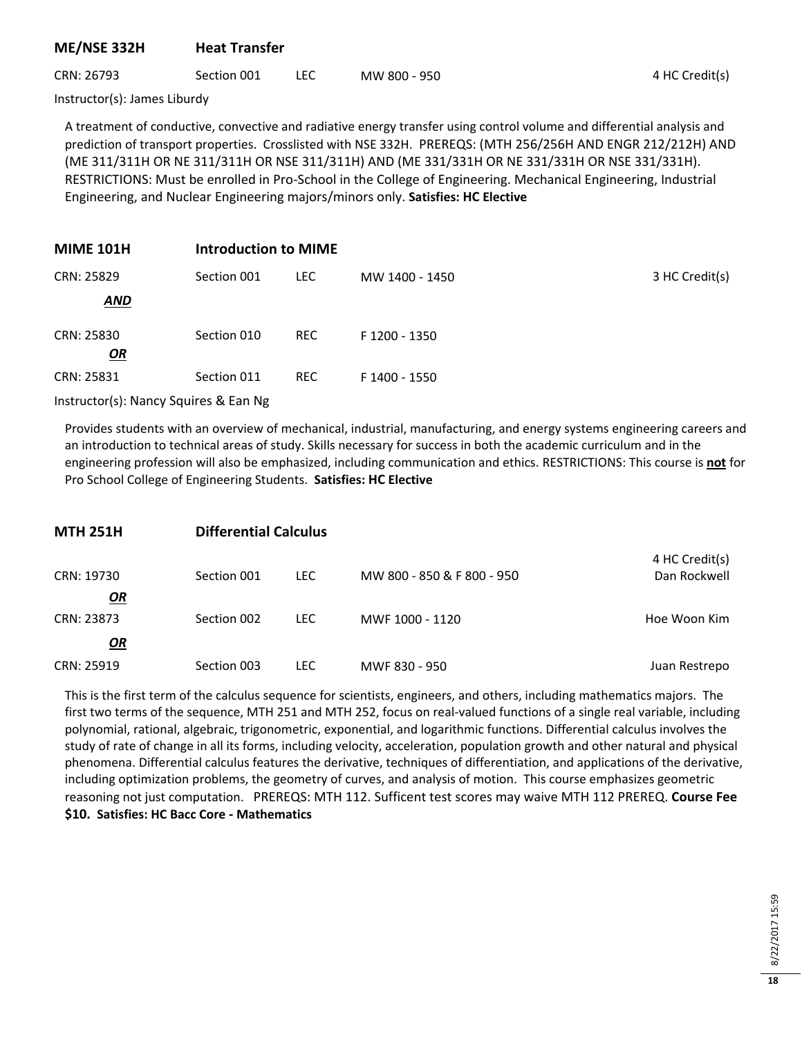#### **ME/NSE 332H Heat Transfer**

## CRN: 26793 Section 001 LEC MW 800 - 950 4 HC Credit(s)

Instructor(s): James Liburdy

A treatment of conductive, convective and radiative energy transfer using control volume and differential analysis and prediction of transport properties. Crosslisted with NSE 332H. PREREQS: (MTH 256/256H AND ENGR 212/212H) AND (ME 311/311H OR NE 311/311H OR NSE 311/311H) AND (ME 331/331H OR NE 331/331H OR NSE 331/331H). RESTRICTIONS: Must be enrolled in Pro-School in the College of Engineering. Mechanical Engineering, Industrial Engineering, and Nuclear Engineering majors/minors only. **Satisfies: HC Elective**

| <b>MIME 101H</b> | <b>Introduction to MIME</b> |            |                |                |
|------------------|-----------------------------|------------|----------------|----------------|
| CRN: 25829       | Section 001                 | <b>LEC</b> | MW 1400 - 1450 | 3 HC Credit(s) |
| <b>AND</b>       |                             |            |                |                |
| CRN: 25830<br>OR | Section 010                 | <b>REC</b> | F 1200 - 1350  |                |
| CRN: 25831       | Section 011                 | <b>REC</b> | F 1400 - 1550  |                |

Instructor(s): Nancy Squires & Ean Ng

Provides students with an overview of mechanical, industrial, manufacturing, and energy systems engineering careers and an introduction to technical areas of study. Skills necessary for success in both the academic curriculum and in the engineering profession will also be emphasized, including communication and ethics. RESTRICTIONS: This course is **not** for Pro School College of Engineering Students. **Satisfies: HC Elective**

| <b>MTH 251H</b>         | <b>Differential Calculus</b> |      |                            |                                |  |  |
|-------------------------|------------------------------|------|----------------------------|--------------------------------|--|--|
| CRN: 19730              | Section 001                  | LEC. | MW 800 - 850 & F 800 - 950 | 4 HC Credit(s)<br>Dan Rockwell |  |  |
| <u>OR</u><br>CRN: 23873 | Section 002                  | LEC. | MWF 1000 - 1120            | Hoe Woon Kim                   |  |  |
| $\mathbf{Q}$            |                              |      |                            |                                |  |  |
| CRN: 25919              | Section 003                  | LEC. | MWF 830 - 950              | Juan Restrepo                  |  |  |

This is the first term of the calculus sequence for scientists, engineers, and others, including mathematics majors. The first two terms of the sequence, MTH 251 and MTH 252, focus on real-valued functions of a single real variable, including polynomial, rational, algebraic, trigonometric, exponential, and logarithmic functions. Differential calculus involves the study of rate of change in all its forms, including velocity, acceleration, population growth and other natural and physical phenomena. Differential calculus features the derivative, techniques of differentiation, and applications of the derivative, including optimization problems, the geometry of curves, and analysis of motion. This course emphasizes geometric reasoning not just computation. PREREQS: MTH 112. Sufficent test scores may waive MTH 112 PREREQ. **Course Fee \$10. Satisfies: HC Bacc Core - Mathematics**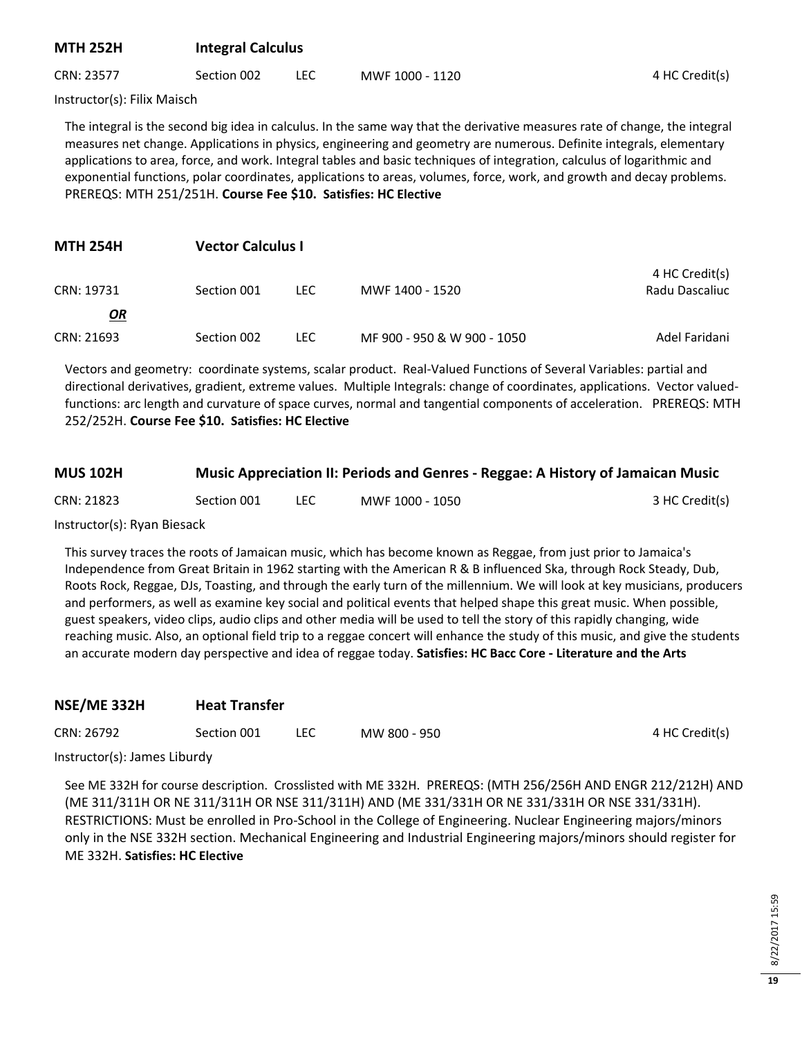## **MTH 252H Integral Calculus**

CRN: 23577 Section 002 LEC MWF 1000 - 1120 4 HC Credit(s)

Instructor(s): Filix Maisch

The integral is the second big idea in calculus. In the same way that the derivative measures rate of change, the integral measures net change. Applications in physics, engineering and geometry are numerous. Definite integrals, elementary applications to area, force, and work. Integral tables and basic techniques of integration, calculus of logarithmic and exponential functions, polar coordinates, applications to areas, volumes, force, work, and growth and decay problems. PREREQS: MTH 251/251H. **Course Fee \$10. Satisfies: HC Elective**

| <b>MTH 254H</b> | <b>Vector Calculus I</b> |      |                             |                                  |
|-----------------|--------------------------|------|-----------------------------|----------------------------------|
| CRN: 19731      | Section 001              | LEC. | MWF 1400 - 1520             | 4 HC Credit(s)<br>Radu Dascaliuc |
| <u>OR</u>       |                          |      |                             |                                  |
| CRN: 21693      | Section 002              | LEC. | MF 900 - 950 & W 900 - 1050 | Adel Faridani                    |

Vectors and geometry: coordinate systems, scalar product. Real-Valued Functions of Several Variables: partial and directional derivatives, gradient, extreme values. Multiple Integrals: change of coordinates, applications. Vector valuedfunctions: arc length and curvature of space curves, normal and tangential components of acceleration. PREREQS: MTH 252/252H. **Course Fee \$10. Satisfies: HC Elective**

| <b>MUS 102H</b> |             | Music Appreciation II: Periods and Genres - Reggae: A History of Jamaican Music |                |
|-----------------|-------------|---------------------------------------------------------------------------------|----------------|
| CRN: 21823      | Section 001 | MWF 1000 - 1050                                                                 | 3 HC Credit(s) |

Instructor(s): Ryan Biesack

This survey traces the roots of Jamaican music, which has become known as Reggae, from just prior to Jamaica's Independence from Great Britain in 1962 starting with the American R & B influenced Ska, through Rock Steady, Dub, Roots Rock, Reggae, DJs, Toasting, and through the early turn of the millennium. We will look at key musicians, producers and performers, as well as examine key social and political events that helped shape this great music. When possible, guest speakers, video clips, audio clips and other media will be used to tell the story of this rapidly changing, wide reaching music. Also, an optional field trip to a reggae concert will enhance the study of this music, and give the students an accurate modern day perspective and idea of reggae today. **Satisfies: HC Bacc Core - Literature and the Arts**

| NSE/ME 332H |
|-------------|
|-------------|

| CRN: 26792 | Section 001 | <b>LEC</b> | MW 800 - 950 | 4 HC Credit(s) |
|------------|-------------|------------|--------------|----------------|
|            |             |            |              |                |

Instructor(s): James Liburdy

See ME 332H for course description. Crosslisted with ME 332H. PREREQS: (MTH 256/256H AND ENGR 212/212H) AND (ME 311/311H OR NE 311/311H OR NSE 311/311H) AND (ME 331/331H OR NE 331/331H OR NSE 331/331H). RESTRICTIONS: Must be enrolled in Pro-School in the College of Engineering. Nuclear Engineering majors/minors only in the NSE 332H section. Mechanical Engineering and Industrial Engineering majors/minors should register for ME 332H. **Satisfies: HC Elective**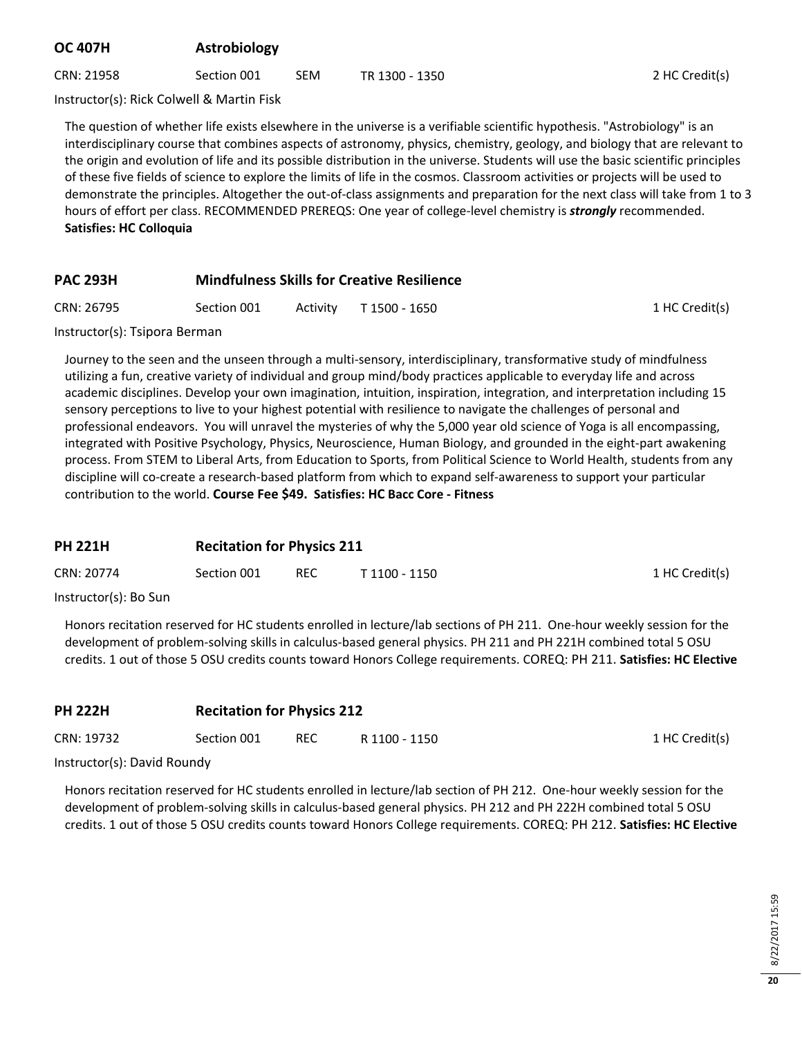# **OC 407H Astrobiology**

CRN: 21958 Section 001 SEM TR 1300 - 1350 2 HC Credit(s)

Instructor(s): Rick Colwell & Martin Fisk

The question of whether life exists elsewhere in the universe is a verifiable scientific hypothesis. "Astrobiology" is an interdisciplinary course that combines aspects of astronomy, physics, chemistry, geology, and biology that are relevant to the origin and evolution of life and its possible distribution in the universe. Students will use the basic scientific principles of these five fields of science to explore the limits of life in the cosmos. Classroom activities or projects will be used to demonstrate the principles. Altogether the out-of-class assignments and preparation for the next class will take from 1 to 3 hours of effort per class. RECOMMENDED PREREQS: One year of college-level chemistry is *strongly* recommended. **Satisfies: HC Colloquia**

## **PAC 293H Mindfulness Skills for Creative Resilience**

| CRN: 26795 | Section 001 | Activity | T 1500 - 1650 |
|------------|-------------|----------|---------------|
|------------|-------------|----------|---------------|

1 HC Credit(s)

Instructor(s): Tsipora Berman

Journey to the seen and the unseen through a multi-sensory, interdisciplinary, transformative study of mindfulness utilizing a fun, creative variety of individual and group mind/body practices applicable to everyday life and across academic disciplines. Develop your own imagination, intuition, inspiration, integration, and interpretation including 15 sensory perceptions to live to your highest potential with resilience to navigate the challenges of personal and professional endeavors. You will unravel the mysteries of why the 5,000 year old science of Yoga is all encompassing, integrated with Positive Psychology, Physics, Neuroscience, Human Biology, and grounded in the eight-part awakening process. From STEM to Liberal Arts, from Education to Sports, from Political Science to World Health, students from any discipline will co-create a research-based platform from which to expand self-awareness to support your particular contribution to the world. **Course Fee \$49. Satisfies: HC Bacc Core - Fitness**

## **PH 221H Recitation for Physics 211**

| CRN: 20774                | Section 001 | <b>REC</b> | T 1100 - 1150 | 1 HC Credit(s) |
|---------------------------|-------------|------------|---------------|----------------|
| $Instructor(c)$ , $DaCun$ |             |            |               |                |

Instructor(s): Bo Sun

Honors recitation reserved for HC students enrolled in lecture/lab sections of PH 211. One-hour weekly session for the development of problem-solving skills in calculus-based general physics. PH 211 and PH 221H combined total 5 OSU credits. 1 out of those 5 OSU credits counts toward Honors College requirements. COREQ: PH 211. **Satisfies: HC Elective**

| <b>PH 222H</b>                                                             | <b>Recitation for Physics 212</b> |      |               |                |
|----------------------------------------------------------------------------|-----------------------------------|------|---------------|----------------|
| CRN: 19732                                                                 | Section 001                       | REC. | R 1100 - 1150 | 1 HC Credit(s) |
| $l_{\text{in}}$ at $u_{\text{in}}$ at $u_{\text{in}}(x)$ . Devial Devia du |                                   |      |               |                |

Instructor(s): David Roundy

Honors recitation reserved for HC students enrolled in lecture/lab section of PH 212. One-hour weekly session for the development of problem-solving skills in calculus-based general physics. PH 212 and PH 222H combined total 5 OSU credits. 1 out of those 5 OSU credits counts toward Honors College requirements. COREQ: PH 212. **Satisfies: HC Elective**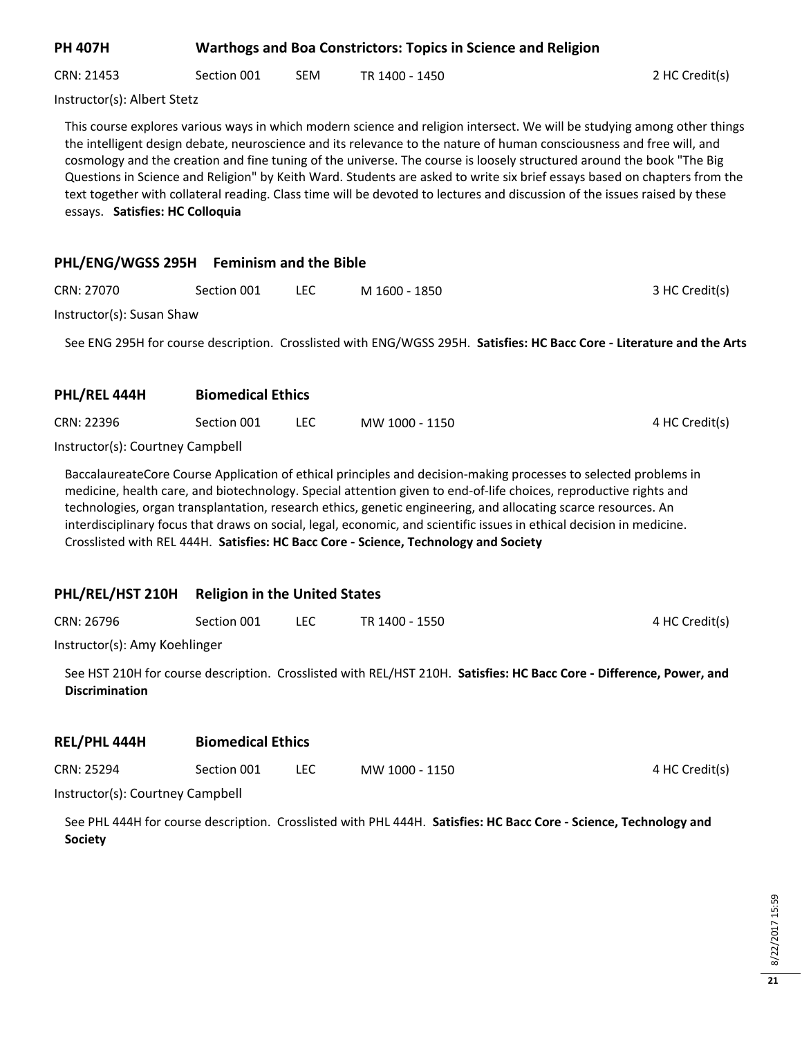| <b>PH 407H</b>                  |             |            | <b>Warthogs and Boa Constrictors: Topics in Science and Religion</b>                                                                                                                                                                                                                                                                                                                                                                                                                                                                                                                                                                  |                |
|---------------------------------|-------------|------------|---------------------------------------------------------------------------------------------------------------------------------------------------------------------------------------------------------------------------------------------------------------------------------------------------------------------------------------------------------------------------------------------------------------------------------------------------------------------------------------------------------------------------------------------------------------------------------------------------------------------------------------|----------------|
| CRN: 21453                      | Section 001 | <b>SEM</b> | TR 1400 - 1450                                                                                                                                                                                                                                                                                                                                                                                                                                                                                                                                                                                                                        | 2 HC Credit(s) |
| Instructor(s): Albert Stetz     |             |            |                                                                                                                                                                                                                                                                                                                                                                                                                                                                                                                                                                                                                                       |                |
| essays. Satisfies: HC Colloquia |             |            | This course explores various ways in which modern science and religion intersect. We will be studying among other things<br>the intelligent design debate, neuroscience and its relevance to the nature of human consciousness and free will, and<br>cosmology and the creation and fine tuning of the universe. The course is loosely structured around the book "The Big<br>Questions in Science and Religion" by Keith Ward. Students are asked to write six brief essays based on chapters from the<br>text together with collateral reading. Class time will be devoted to lectures and discussion of the issues raised by these |                |

| PHL/ENG/WGSS 295H | <b>Feminism and the Bible</b> |
|-------------------|-------------------------------|
|-------------------|-------------------------------|

**PHL/REL 444H Biomedical Ethics**

| CRN: 27070                | Section 001 | M 1600 - 1850 | 3 HC Credit(s) |
|---------------------------|-------------|---------------|----------------|
| Instructor(s): Susan Shaw |             |               |                |

See ENG 295H for course description. Crosslisted with ENG/WGSS 295H. **Satisfies: HC Bacc Core - Literature and the Arts**

|                                  | PIUIIICUILUI LUIILJ |     |                |                |
|----------------------------------|---------------------|-----|----------------|----------------|
| CRN: 22396                       | Section 001         | LEC | MW 1000 - 1150 | 4 HC Credit(s) |
| Instructor(s): Courtney Campbell |                     |     |                |                |

BaccalaureateCore Course Application of ethical principles and decision-making processes to selected problems in medicine, health care, and biotechnology. Special attention given to end-of-life choices, reproductive rights and technologies, organ transplantation, research ethics, genetic engineering, and allocating scarce resources. An interdisciplinary focus that draws on social, legal, economic, and scientific issues in ethical decision in medicine. Crosslisted with REL 444H. **Satisfies: HC Bacc Core - Science, Technology and Society**

## **PHL/REL/HST 210H Religion in the United States**

| CRN: 26796<br>Section 001<br>LEC | 4 HC Credit(s)<br>TR 1400 - 1550 |
|----------------------------------|----------------------------------|
|----------------------------------|----------------------------------|

Instructor(s): Amy Koehlinger

See HST 210H for course description. Crosslisted with REL/HST 210H. **Satisfies: HC Bacc Core - Difference, Power, and Discrimination**

| REL/PHL 444H | <b>Biomedical Ethics</b> |      |                |                |
|--------------|--------------------------|------|----------------|----------------|
| CRN: 25294   | Section 001              | LEC. | MW 1000 - 1150 | 4 HC Credit(s) |

Instructor(s): Courtney Campbell

See PHL 444H for course description. Crosslisted with PHL 444H. **Satisfies: HC Bacc Core - Science, Technology and Society**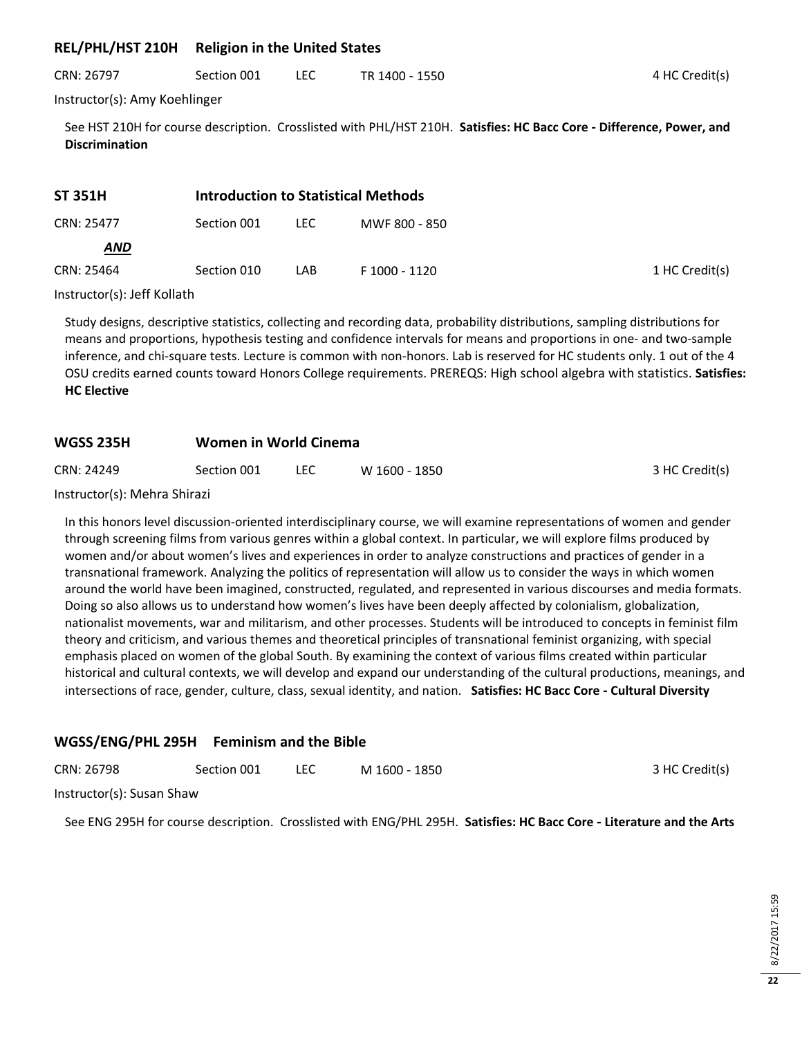# **REL/PHL/HST 210H Religion in the United States**

| CRN: 26797 | Section 001 |  | TR 1400 - 1550 | 4 HC Credit(s) |
|------------|-------------|--|----------------|----------------|
|------------|-------------|--|----------------|----------------|

Instructor(s): Amy Koehlinger

See HST 210H for course description. Crosslisted with PHL/HST 210H. **Satisfies: HC Bacc Core - Difference, Power, and Discrimination**

| <b>ST 351H</b> | Introduction to Statistical Methods |      |               |                |
|----------------|-------------------------------------|------|---------------|----------------|
| CRN: 25477     | Section 001                         | LEC. | MWF 800 - 850 |                |
| <b>AND</b>     |                                     |      |               |                |
| CRN: 25464     | Section 010                         | LAB. | F 1000 - 1120 | 1 HC Credit(s) |

#### Instructor(s): Jeff Kollath

Study designs, descriptive statistics, collecting and recording data, probability distributions, sampling distributions for means and proportions, hypothesis testing and confidence intervals for means and proportions in one- and two-sample inference, and chi-square tests. Lecture is common with non-honors. Lab is reserved for HC students only. 1 out of the 4 OSU credits earned counts toward Honors College requirements. PREREQS: High school algebra with statistics. **Satisfies: HC Elective**

## **WGSS 235H Women in World Cinema**

| CRN: 24249 | Section 001 |  | W 1600 - 1850 | 3 HC Credit(s) |
|------------|-------------|--|---------------|----------------|
|------------|-------------|--|---------------|----------------|

Instructor(s): Mehra Shirazi

In this honors level discussion-oriented interdisciplinary course, we will examine representations of women and gender through screening films from various genres within a global context. In particular, we will explore films produced by women and/or about women's lives and experiences in order to analyze constructions and practices of gender in a transnational framework. Analyzing the politics of representation will allow us to consider the ways in which women around the world have been imagined, constructed, regulated, and represented in various discourses and media formats. Doing so also allows us to understand how women's lives have been deeply affected by colonialism, globalization, nationalist movements, war and militarism, and other processes. Students will be introduced to concepts in feminist film theory and criticism, and various themes and theoretical principles of transnational feminist organizing, with special emphasis placed on women of the global South. By examining the context of various films created within particular historical and cultural contexts, we will develop and expand our understanding of the cultural productions, meanings, and intersections of race, gender, culture, class, sexual identity, and nation. **Satisfies: HC Bacc Core - Cultural Diversity**

## **WGSS/ENG/PHL 295H Feminism and the Bible**

| CRN: 26798 | Section 001 | M 1600 - 1850 | 3 HC Credit(s) |
|------------|-------------|---------------|----------------|
|            |             |               |                |

Instructor(s): Susan Shaw

See ENG 295H for course description. Crosslisted with ENG/PHL 295H. **Satisfies: HC Bacc Core - Literature and the Arts**